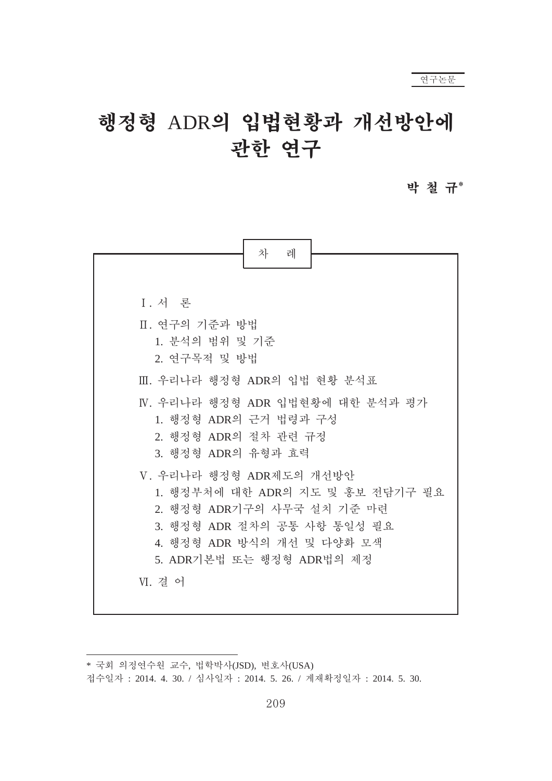#### 박 철 규\*



<sup>\*</sup> 국회 의정연수원 교수, 법학박사(JSD), 변호사(USA)

접수일자 : 2014. 4. 30. / 심사일자 : 2014. 5. 26. / 게재확정일자 : 2014. 5. 30.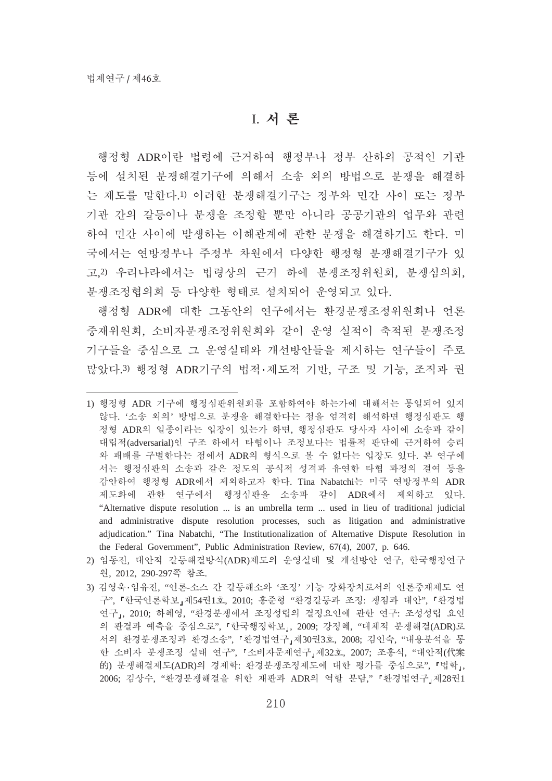## I. 서 론

행정형 ADR이란 법령에 근거하여 행정부나 정부 산하의 공적인 기관 등에 설치된 분쟁해결기구에 의해서 소송 외의 방법으로 분쟁을 해결하 는 제도를 말한다.1) 이러한 분쟁해결기구는 정부와 민간 사이 또는 정부 기관 간의 갈등이나 분쟁을 조정할 뿐만 아니라 공공기관의 업무와 관련 하여 민간 사이에 발생하는 이해관계에 관한 분쟁을 해결하기도 한다. 미 국에서는 연방정부나 주정부 차원에서 다양한 행정형 분쟁해결기구가 있 고.2) 우리나라에서는 법령상의 근거 하에 분쟁조정위원회, 분쟁심의회, 분쟁조정협의회 등 다양한 형태로 설치되어 운영되고 있다.

행정형 ADR에 대한 그동안의 여구에서는 환경분쟁조정위원회나 언론 중재위원회, 소비자분쟁조정위원회와 같이 우영 실적이 축적된 분쟁조정 기구들을 중심으로 그 운영실태와 개선방안들을 제시하는 연구들이 주로 많았다.3) 행정형 ADR기구의 법적·제도적 기반, 구조 및 기능, 조직과 권

<sup>1)</sup> 행정형 ADR 기구에 행정심판위원회를 포함하여야 하는가에 대해서는 통일되어 입지 않다. '소송 외의' 방법으로 분쟁을 해결한다는 점을 엄격히 해석하면 행정심판도 행 정형 ADR의 일종이라는 입장이 있는가 하면, 행정심판도 당사자 사이에 소송과 같이 대립적(adversarial)의 구조 하에서 타협이나 조정보다는 법률적 판단에 근거하여 승리 와 패배를 구별한다는 점에서 ADR의 형식으로 볼 수 없다는 입장도 있다. 본 연구에 서는 행정심판의 소송과 같은 정도의 공식적 성격과 유연한 타협 과정의 결여 등을 감안하여 행정형 ADR에서 제외하고자 한다. Tina Nabatchi는 미국 연방정부의 ADR 제도화에 관한 연구에서 행정심판을 소송과 같이 ADR에서 제외하고 있다. "Alternative dispute resolution ... is an umbrella term ... used in lieu of traditional judicial and administrative dispute resolution processes, such as litigation and administrative adjudication." Tina Nabatchi, "The Institutionalization of Alternative Dispute Resolution in the Federal Government", Public Administration Review, 67(4), 2007, p. 646.

<sup>2)</sup> 임동진, 대안적 갈등해결방식(ADR)제도의 운영실태 및 개선방안 연구, 한국행정연구 원, 2012, 290-297쪽 참조.

<sup>3)</sup> 김영욱·임유진, "언론-소스 간 갈등해소와 '조정' 기능 강화장치로서의 언론중재제도 연 구", 『한국언론학보』제54권1호, 2010; 홍준형 "환경갈등과 조정: 쟁점과 대안", 『환경법 연구』, 2010; 하혜영, "환경분쟁에서 조정성립의 결정요인에 관한 연구: 조성성립 요인 의 판결과 예측을 중심으로", 『한국행정학보』, 2009; 강정혜, "대체적 분쟁해결(ADR)로 서의 환경분쟁조정과 환경소송", 『환경법연구』제30권3호, 2008; 김인숙, "내용분석을 통 한 소비자 분쟁조정 실태 연구", 『소비자문제연구』제32호, 2007; 조홍식, "대안적(代案 的) 분쟁해결제도(ADR)의 경제학: 환경분쟁조정제도에 대한 평가를 중심으로", 「법학」, 2006; 김상수, "환경분쟁해결을 위한 재판과 ADR의 역할 분담," 『환경법연구』제28권1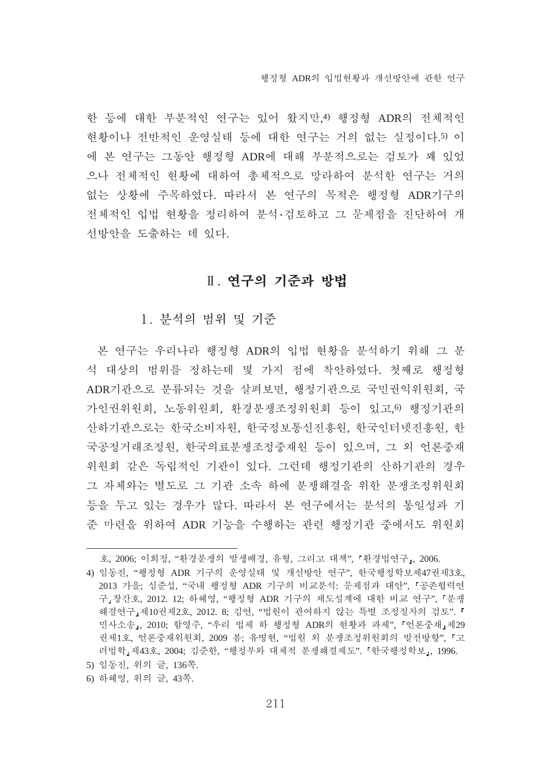한 등에 대한 부부적인 여구는 있어 왔지만.4) 행정형 ADR의 전체적인 현황이나 전반적인 운영실태 등에 대한 연구는 거의 없는 실정이다.5) 이 에 본 연구는 그동안 행정형 ADR에 대해 부분적으로는 검토가 꽤 있었 으나 전체적인 현황에 대하여 총체적으로 망라하여 분석한 연구는 거의 없는 상황에 주목하였다. 따라서 본 연구의 목적은 행정형 ADR기구의 전체적인 입법 현황을 정리하여 분석·검토하고 그 문제점을 진단하여 개 선방안을 도출하는 데 있다.

## Ⅱ. 연구의 기준과 방법

1. 부석의 범위 및 기주

본 여구는 우리나라 행정형 ADR의 입법 현황을 부석하기 위해 그 부 석 대상의 범위를 정하는데 몇 가지 점에 착안하였다. 첫째로 행정형 ADR기관으로 분류되는 것을 살펴보면, 행정기관으로 국민권익위원회, 국 가인권위원회, 노동위원회, 환경분쟁조정위원회 등이 있고,6) 행정기관의 산하기관으로는 한국소비자원, 한국정보통신진흥원, 한국인터넷진흥원, 한 국공정거래조정원, 한국의료분쟁조정중재원 등이 있으며, 그 외 언론중재 위원회 같은 독립적인 기관이 있다. 그런데 행정기관의 산하기관의 경우 그 자체와는 별도로 그 기관 소속 하에 분쟁해결을 위한 분쟁조정위원회 등을 두고 있는 경우가 많다. 따라서 본 연구에서는 분석의 통일성과 기 준 마련을 위하여 ADR 기능을 수행하는 관련 행정기관 중에서도 위원회

- 5) 임동진, 위의 글, 136쪽.
- 6) 하혜영, 위의 글, 43쪽.

호, 2006; 이희정, "환경분쟁의 발생배경, 유형, 그리고 대책", 『환경법연구』, 2006.

<sup>4)</sup> 임동진, "행정형 ADR 기구의 운영실태 및 개선방안 여구", 한국행정학보제47권제3호, 2013 가을; 심준섭, "국내 행정형 ADR 기구의 비교부석; 문제점과 대안", 『공존협력역 구』창간호, 2012. 12; 하혜영, "행정형 ADR 기구의 제도설계에 대한 비교 연구", 「분쟁 해결연구』제10권제2호, 2012. 8; 김연, "법원이 관여하지 않는 특별 조정절차의 검토". 「 민사소송,, 2010; 함영주, "우리 법제 하 행정형 ADR의 현황과 과제", 『언론중재』제29 권제1호, 언론중재위원회, 2009 봄; 유병현, "법원 외 분쟁조정위원회의 발전방향", 『고 려법학』제43호, 2004; 김준한, "행정부와 대체적 분쟁해결제도". 『한국행정학보』, 1996.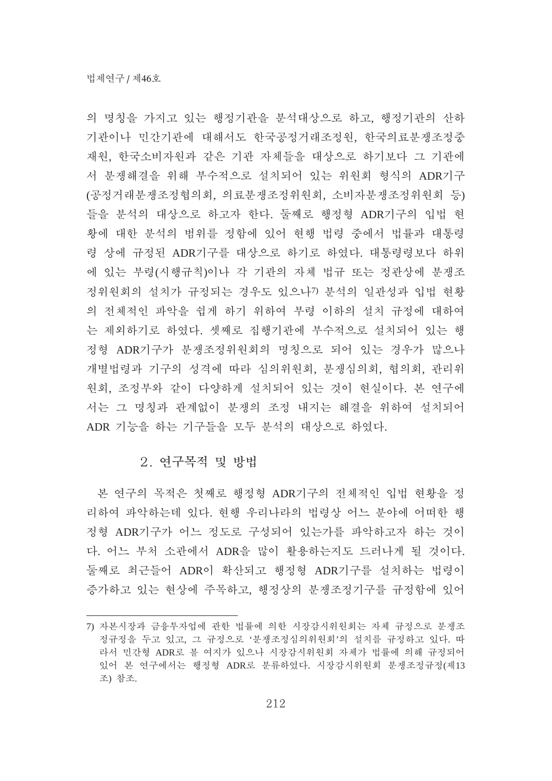의 명칭을 가지고 있는 행정기관을 부석대상으로 하고, 행정기관의 산하 기관이나 민간기관에 대해서도 한국공정거래조정원, 한국의료분쟁조정중 재원, 한국소비자원과 같은 기관 자체들을 대상으로 하기보다 그 기관에 서 분쟁해결을 위해 부수적으로 설치되어 있는 위원회 형식의 ADR기구 (공정거래분쟁조정협의회, 의료분쟁조정위원회, 소비자분쟁조정위원회 등) 들을 분석의 대상으로 하고자 한다. 둘째로 행정형 ADR기구의 입법 현 황에 대한 분석의 범위를 정함에 있어 현행 법령 중에서 법률과 대통령 령 상에 규정된 ADR기구를 대상으로 하기로 하였다. 대통령령보다 하위 에 있는 부령(시행규칙)이나 각 기관의 자체 법규 또는 정관상에 분쟁조 정위원회의 설치가 규정되는 경우도 있으나? 분석의 일관성과 입법 현황 의 전체적인 파악을 쉽게 하기 위하여 부령 이하의 설치 규정에 대하여 는 제외하기로 하였다. 셋째로 집행기관에 부수적으로 설치되어 있는 행 정형 ADR기구가 분쟁조정위원회의 명칭으로 되어 있는 경우가 많으나 개별법령과 기구의 성격에 따라 심의위원회, 분쟁심의회, 협의회, 관리위 원회, 조정부와 같이 다양하게 설치되어 있는 것이 현실이다. 본 연구에 서는 그 명칭과 관계없이 분쟁의 조정 내지는 해결을 위하여 설치되어 ADR 기능을 하는 기구들을 모두 분석의 대상으로 하였다.

#### 2. 여구목적 및 방법

본 연구의 목적은 첫째로 행정형 ADR기구의 전체적인 입법 현황을 정 리하여 파악하는데 있다. 혀행 우리나라의 법령상 어느 부야에 어떠한 행 정형 ADR기구가 어느 정도로 구성되어 있는가를 파악하고자 하는 것이 다. 어느 부처 소관에서 ADR을 많이 활용하는지도 드러나게 될 것이다. 둘째로 최근들어 ADR이 확산되고 행정형 ADR기구를 설치하는 법령이 증가하고 있는 현상에 주목하고, 행정상의 분쟁조정기구를 규정함에 있어

<sup>7)</sup> 자본시장과 금융투자업에 관한 법률에 의한 시장감시위원회는 자체 규정으로 분쟁조 정규정을 두고 있고, 그 규정으로 '분쟁조정심의위원회'의 설치를 규정하고 있다. 따 라서 민간형 ADR로 볼 여지가 있으나 시장감시위원회 자체가 법률에 의해 규정되어 있어 본 연구에서는 행정형 ADR로 분류하였다. 시장감시위원회 분쟁조정규정(제13 조) 참조.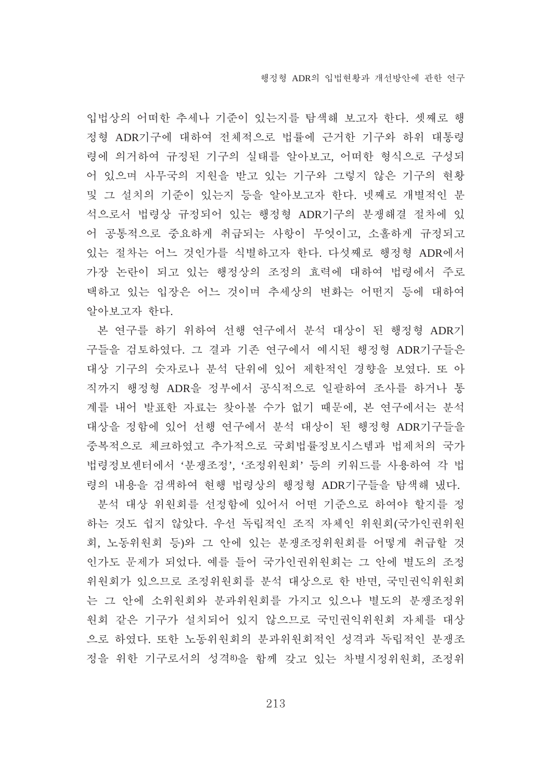입법상의 어떠한 추세나 기주이 있는지를 탐색해 보고자 한다. 셋째로 행 정형 ADR기구에 대하여 전체적으로 법률에 근거한 기구와 하위 대통령 령에 의거하여 규정된 기구의 실태를 알아보고, 어떠한 형식으로 구성되 어 있으며 사무국의 지원을 받고 있는 기구와 그렇지 않은 기구의 현황 및 그 설치의 기준이 있는지 등을 알아보고자 한다. 넷째로 개별적인 분 석으로서 법령상 규정되어 있는 행정형 ADR기구의 분쟁해결 절차에 있 어 공통적으로 중요하게 취급되는 사항이 무엇이고, 소홀하게 규정되고 있는 절차는 어느 것인가를 식별하고자 한다. 다섯째로 행정형 ADR에서 가장 논란이 되고 있는 행정상의 조정의 효력에 대하여 법령에서 주로 택하고 있는 입장은 어느 것이며 추세상의 변화는 어떤지 등에 대하여 알아보고자 한다.

본 연구를 하기 위하여 선행 연구에서 분석 대상이 된 행정형 ADR기 구들을 검토하였다. 그 결과 기존 연구에서 예시된 행정형 ADR기구들은 대상 기구의 숫자로나 분석 단위에 있어 제한적인 경향을 보였다. 또 아 직까지 행정형 ADR을 정부에서 공식적으로 일괄하여 조사를 하거나 통 계를 내어 발표한 자료는 찾아볼 수가 없기 때문에, 본 연구에서는 분석 대상을 정함에 있어 선행 연구에서 분석 대상이 된 행정형 ADR기구들을 중복적으로 체크하였고 추가적으로 국회법률정보시스템과 법제처의 국가 법령정보센터에서 '분쟁조정', '조정위원회' 등의 키워드를 사용하여 각 법 령의 내용을 검색하여 현행 법령상의 행정형 ADR기구들을 탐색해 냈다.

분석 대상 위원회를 선정함에 있어서 어떤 기준으로 하여야 할지를 정 하는 것도 쉽지 않았다. 우선 독립적인 조직 자체인 위원회(국가인권위원 회, 노동위원회 등)와 그 안에 있는 분쟁조정위원회를 어떻게 취급할 것 인가도 문제가 되었다. 예를 들어 국가인권위원회는 그 안에 별도의 조정 위원회가 있으므로 조정위원회를 분석 대상으로 한 반면, 국민권익위원회 는 그 안에 소위원회와 분과위원회를 가지고 있으나 별도의 분쟁조정위 원회 같은 기구가 설치되어 있지 않으므로 국민권익위원회 자체를 대상 으로 하였다. 또한 노동위원회의 분과위원회적인 성격과 독립적인 분쟁조 정을 위한 기구로서의 성격8)을 함께 갖고 있는 차별시정위원회, 조정위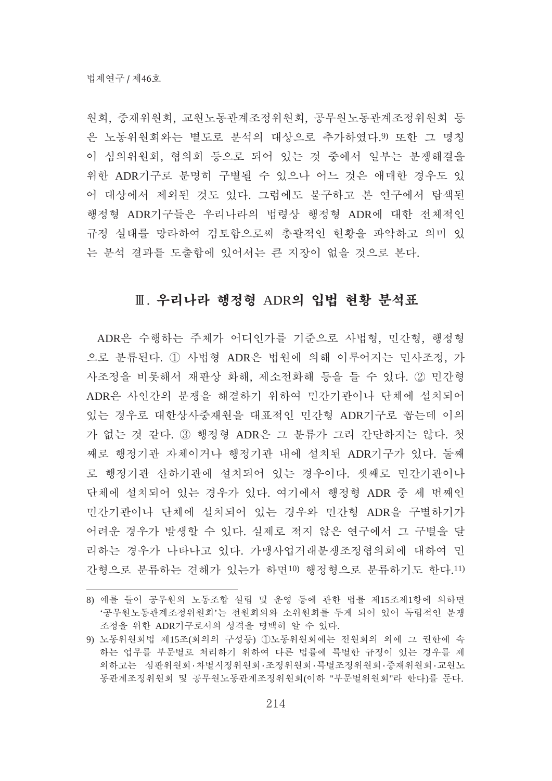원회, 중재위원회, 교원노동관계조정위원회, 공무원노동관계조정위원회 등 은 노동위원회와는 별도로 분석의 대상으로 추가하였다. 9 또한 그 명칭 이 심의위원회, 협의회 등으로 되어 있는 것 중에서 일부는 분쟁해결을 위한 ADR기구로 분명히 구별될 수 있으나 어느 것은 애매한 경우도 있 어 대상에서 제외된 것도 있다. 그럼에도 불구하고 본 연구에서 탐색된 행정형 ADR기구들은 우리나라의 법령상 행정형 ADR에 대한 전체적인 규정 실태를 망라하여 검토함으로써 총괄적인 현황을 파악하고 의미 있 는 분석 결과를 도출함에 있어서는 큰 지장이 없을 것으로 본다.

### Ⅲ. 우리나라 행정형 ADR의 입법 현황 분석표

ADR은 수행하는 주체가 어디인가를 기준으로 사법형, 민간형, 행정형 으로 분류된다. ① 사법형 ADR은 법원에 의해 이루어지는 민사조정, 가 사조정을 비롯해서 재판상 화해, 제소전화해 등을 들 수 있다. ② 민간형 ADR은 사인간의 분쟁을 해결하기 위하여 민간기관이나 단체에 설치되어 있는 경우로 대한상사중재원을 대표적인 민간형 ADR기구로 꼽는데 이의 가 없는 것 같다. 3 행정형 ADR은 그 분류가 그리 간단하지는 않다. 첫 째로 행정기관 자체이거나 행정기관 내에 설치된 ADR기구가 있다. 둘째 로 행정기관 산하기관에 설치되어 있는 경우이다. 셋째로 민간기관이나 단체에 설치되어 있는 경우가 있다. 여기에서 행정형 ADR 중 세 번째인 민간기관이나 단체에 설치되어 있는 경우와 민간형 ADR을 구별하기가 어려운 경우가 발생할 수 있다. 실제로 적지 않은 연구에서 그 구별을 달 리하는 경우가 나타나고 있다. 가맹사업거래분쟁조정협의회에 대하여 민 간형으로 분류하는 견해가 있는가 하면10) 행정형으로 분류하기도 한다.11)

<sup>8)</sup> 예를 들어 공무원의 노동조합 설립 및 운영 등에 관한 법률 제15조제1항에 의하면 '공무원노동관계조정위원회'는 전원회의와 소위원회를 두게 되어 있어 독립적인 분쟁 조정을 위한 ADR기구로서의 성격을 명백히 알 수 있다.

<sup>9)</sup> 노동위원회법 제15조(회의의 구성등) ①노동위원회에는 전원회의 외에 그 권한에 속 하는 업무를 부문별로 처리하기 위하여 다른 법률에 특별한 규정이 있는 경우를 제 외하고는 심판위원회·차별시정위원회·조정위원회·특별조정위원회·중재위원회·교원노 동관계조정위원회 및 공무원노동관계조정위원회(이하 "부문별위원회"라 한다)를 둔다.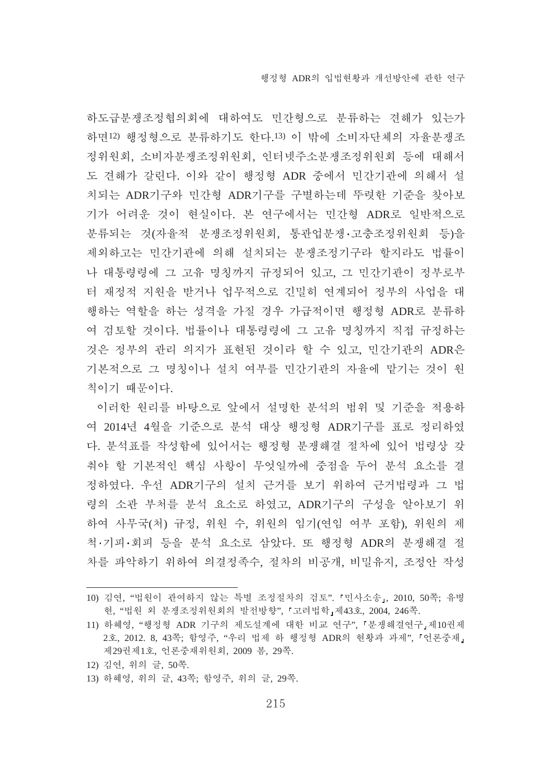하도급분쟁조정협의회에 대하여도 민간형으로 분류하는 견해가 있는가 하면12) 행정형으로 분류하기도 한다.13) 이 밖에 소비자단체의 자율분쟁조 정위원회, 소비자분쟁조정위원회, 인터넷주소분쟁조정위원회 등에 대해서 도 견해가 갈린다. 이와 같이 행정형 ADR 중에서 민간기관에 의해서 설 치되는 ADR기구와 민간형 ADR기구를 구별하는데 뚜렷한 기준을 찾아보 기가 어려운 것이 현실이다. 본 연구에서는 민간형 ADR로 일반적으로 분류되는 것(자율적 분쟁조정위원회, 통관업분쟁·고충조정위원회 등)을 제외하고는 민간기관에 의해 설치되는 분쟁조정기구라 할지라도 법률이 나 대통령령에 그 고유 명칭까지 규정되어 있고, 그 민간기관이 정부로부 터 재정적 지원을 받거나 업무적으로 긴밀히 연계되어 정부의 사업을 대 행하는 역할을 하는 성격을 가질 경우 가급적이면 행정형 ADR로 분류하 여 검토할 것이다. 법률이나 대통령령에 그 고유 명칭까지 직접 규정하는 것은 정부의 관리 의지가 표현된 것이라 할 수 있고, 민간기관의 ADR은 기본적으로 그 명칭이나 설치 여부를 민간기관의 자율에 맡기는 것이 원 칙이기 때문이다.

이러한 원리를 바탕으로 앞에서 설명한 분석의 범위 및 기준을 적용하 여 2014년 4월을 기준으로 분석 대상 행정형 ADR기구를 표로 정리하였 다. 분석표를 작성함에 있어서는 행정형 분쟁해결 절차에 있어 법령상 갖 춰야 할 기본적인 핵심 사항이 무엇일까에 중점을 두어 분석 요소를 결 정하였다. 우선 ADR기구의 설치 근거를 보기 위하여 근거법령과 그 법 령의 소관 부처를 분석 요소로 하였고, ADR기구의 구성을 알아보기 위 하여 사무국(처) 규정, 위원 수, 위원의 임기(연임 여부 포함), 위원의 제 척 기피 회피 등을 부석 요소로 삼았다. 또 행정형 ADR의 부쟁해결 절 차를 파악하기 위하여 의결정족수, 절차의 비공개, 비밀유지, 조정안 작성

- 12) 김연, 위의 글, 50쪽.
- 13) 하혜영, 위의 글, 43쪽; 함영주, 위의 글, 29쪽.

<sup>10)</sup> 김연, "법원이 관여하지 않는 특별 조정절차의 검토". 『민사소송』, 2010, 50쪽; 유병 현, "법원 외 분쟁조정위원회의 발전방향", 『고려법학』제43호, 2004, 246쪽.

<sup>11)</sup> 하혜영, "행정형 ADR 기구의 제도설계에 대한 비교 연구", 『분쟁해결연구』제10권제 2호, 2012. 8, 43쪽; 함영주, "우리 법제 하 행정형 ADR의 현황과 과제", 『언론중재』 제29권제1호, 언론중재위원회, 2009 봄, 29쪽.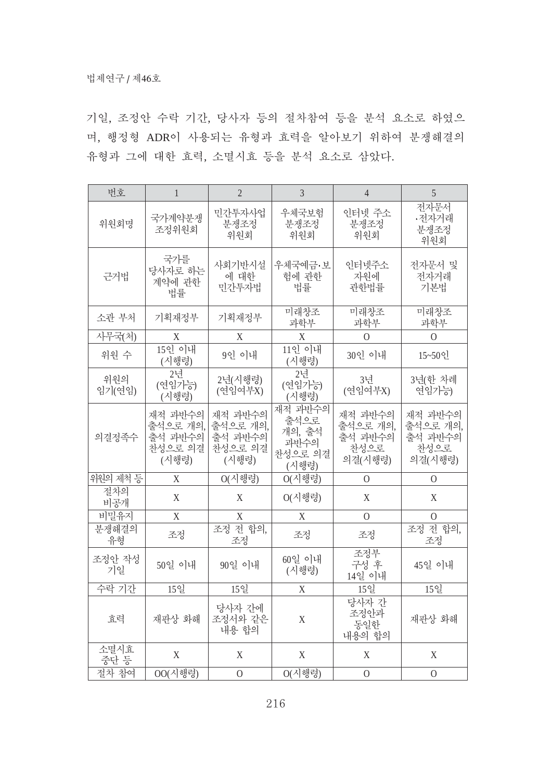기일, 조정안 수락 기간, 당사자 등의 절차참여 등을 분석 요소로 하였으 며, 행정형 ADR이 사용되는 유형과 효력을 알아보기 위하여 분쟁해결의 유형과 그에 대한 효력, 소멸시효 등을 분석 요소로 삼았다.

| 번호            | $\mathbf{1}$                                       | $\overline{2}$                                     | $\mathfrak{Z}$                                        | $\overline{4}$                                    | 5                                                 |
|---------------|----------------------------------------------------|----------------------------------------------------|-------------------------------------------------------|---------------------------------------------------|---------------------------------------------------|
| 위원회명          | 국가계약분쟁<br>조정위원회                                    | 민간투자사업<br>분쟁조정<br>위원회                              | 우체국보험<br>분쟁조정<br>위원회                                  | 인터넷 주소<br>분쟁조정<br>위원회                             | 전자문서<br>•전자거래<br>분쟁조정<br>위원회                      |
| 근거법           | 국가를<br>당사자로 하는<br>계약에 관한<br>법률                     | 사회기반시설<br>에 대한<br>민간투자법                            | 우체국예금·보<br>헊에 관한<br>법률                                | 인터넷주소<br>자원에<br>관한법률                              | 전자문서 및<br>전자거래<br>기본법                             |
| 소관 부처         | 기획재정부                                              | 기획재정부                                              | 미래창조<br>과학부                                           | 미래창조<br>과학부                                       | 미래창조<br>과학부                                       |
| 사무국(처)        | X                                                  | X                                                  | X                                                     | $\overline{0}$                                    | $\overline{0}$                                    |
| 위원 수          | 15인 이내<br>(시행령)                                    | 9인 이내                                              | 11인 이내<br>(시행령)                                       | 30인 이내                                            | 15~50인                                            |
| 위원의<br>임기(연임) | 2년<br>(연임가능)<br>(시행령)                              | 2년(시행령)<br>(연임여부X)                                 | 2년<br>(연임가능)<br>(시행령)                                 | 3년<br>(연임여부X)                                     | 3년(한 차례<br>연임가능)                                  |
| 의결정족수         | 재적 과반수의<br>출석으로 개의,<br>출석 과반수의<br>찬성으로 의결<br>(시행령) | 재적 과반수의<br>출석으로 개의.<br>출석 과반수의<br>찬성으로 의결<br>(시행령) | 재적 과반수의<br>출석으로<br>개의, 출석<br>과반수의<br>찬성으로 의결<br>(시행령) | 재적 과반수의<br>출석으로 개의,<br>출석 과반수의<br>찬성으로<br>의결(시행령) | 재적 과반수의<br>출석으로 개의,<br>출석 과반수의<br>찬성으로<br>의결(시행령) |
| 위원의 제척 등      | X                                                  | 0(시행령)                                             | O(시행령)                                                | $\Omega$                                          | O                                                 |
| 절차의<br>비공개    | X                                                  | X                                                  | $O(\lambda$ 행령)                                       | X                                                 | X                                                 |
| 비밀유지          | X                                                  | X                                                  | X                                                     | $\overline{O}$                                    | $\Omega$                                          |
| 분쟁해결의<br>유형   | 조정                                                 | 전 합의,<br>조정<br>조정                                  | 조정                                                    | 조정                                                | 조정 전 합의,<br>조정                                    |
| 조정안 작성<br>기일  | 50일 이내                                             | 90일 이내                                             | 60일 이내<br>(시행령)                                       | 조정부<br>구성 후<br>14일 이내                             | 45일 이내                                            |
| 수락 기간         | 15일                                                | 15일                                                | X                                                     | 15일                                               | 15일                                               |
| 효력            | 재판상 화해                                             | 당사자 간에<br>조정서와 같은<br>내용 합의                         | $\mathbf X$                                           | 당사자 간<br>조정안과<br>동일한<br>내용의 합의                    | 재판상 화해                                            |
| 소멸시효<br>중단 등  | X                                                  | X                                                  | X                                                     | X                                                 | X                                                 |
| 절차 참여         | 00(시행령)                                            | $\mathbf{0}$                                       | $O(\lambda$ 행령)                                       | $\overline{O}$                                    | $\mathbf{0}$                                      |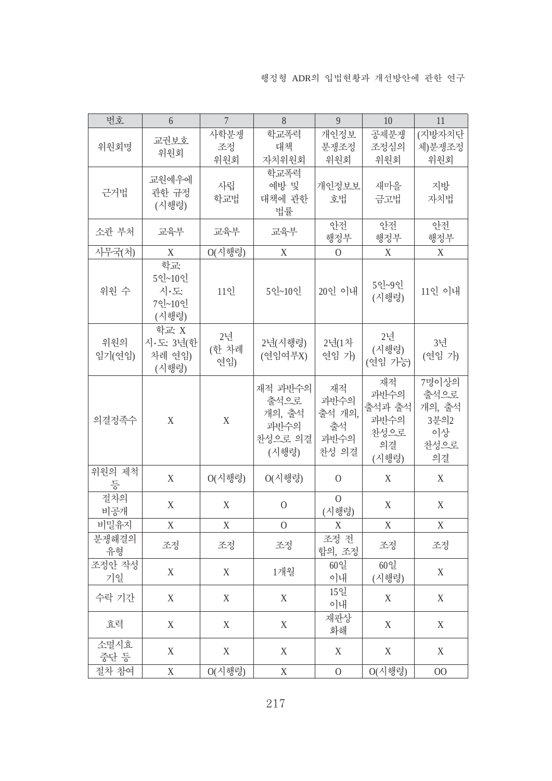| 번호            | 6                                       | $\overline{7}$     | 8                                                     | 9                                           | 10                                                  | 11                                                  |
|---------------|-----------------------------------------|--------------------|-------------------------------------------------------|---------------------------------------------|-----------------------------------------------------|-----------------------------------------------------|
| 위원회명          | 교권보호<br>위원회                             | 사학분쟁<br>조정<br>위원회  | 학교폭력<br>대책<br>자치위원회                                   | 개인정보<br>분쟁조정<br>위원회                         | 공제분쟁<br>조정심의<br>위원회                                 | (지방자치단<br>체)분쟁조정<br>위원회                             |
| 근거법           | 교원예우에<br>관한 규정<br>(시행령)                 | 사립<br>학교법          | 학교폭력<br>예방 및<br>대책에 관한<br>법률                          | 개인정보보<br>호법                                 | 새마을<br>금고법                                          | 지방<br>자치법                                           |
| 소관 부처         | 교육부                                     | 교육부                | 교육부                                                   | 안전<br>행정부                                   | 안전<br>행정부                                           | 아전<br>행정부                                           |
| 사무국(처)        | $\mathbf X$                             | $O(\lambda$ ] 행령)  | X                                                     | $\overline{O}$                              | X                                                   | $\mathbf X$                                         |
| 위원 수          | 학교:<br>5인~10인<br>시·도<br>7인~10인<br>(시행령) | 11인                | 5인~10인                                                | 20인 이내                                      | 5인~9인<br>(시행령)                                      | 11인 이내                                              |
| 위원의<br>임기(연임) | 학교: X<br>시·도: 3년(한<br>차례 연임)<br>(시행령)   | 2년<br>(한 차례<br>연임) | 2년(시행령)<br>(연임여부X)                                    | 2년(1차<br>연임 가)                              | 2년<br>(시행령)<br>(연임 가능)                              | 3년<br>(연임 가)                                        |
| 의결정족수         | X                                       | $\mathbf X$        | 재적 과반수의<br>출석으로<br>개의, 출석<br>과반수의<br>찬성으로 의결<br>(시행령) | 재적<br>과반수의<br>출석 개의,<br>출석<br>과반수의<br>찬성 의결 | 재적<br>과반수의<br>출석과 출석<br>과반수의<br>찬성으로<br>의결<br>(시행령) | 7명이상의<br>출석으로<br>개의, 출석<br>3분의2<br>이상<br>찬성으로<br>의결 |
| 위원의 제척<br>등   | X                                       | $O(\lambda$ 행령)    | $O(\lambda$ 행령)                                       | $\overline{0}$                              | $\mathbf X$                                         | X                                                   |
| 절차의<br>비공개    | X                                       | X                  | $\overline{O}$                                        | $\Omega$<br>(시행령)                           | X                                                   | X                                                   |
| 비밀유지          | X                                       | X                  | $\mathbf{O}$                                          | X                                           | X                                                   | X                                                   |
| 분쟁해결의<br>유형   | 조정                                      | 조정                 | 조정                                                    | 조정 전<br>합의, 조정                              | 조정                                                  | 조정                                                  |
| 조정안 작성<br>기일  | X                                       | X                  | 1개월                                                   | 60일<br>이내                                   | 60일<br>(시행령)                                        | X                                                   |
| 수락 기간         | X                                       | X                  | X                                                     | 15일<br>이내                                   | X                                                   | X                                                   |
| 효력            | X                                       | X                  | X                                                     | 재판상<br>화해                                   | X                                                   | X                                                   |
| 소멸시효<br>중단 등  | X                                       | X                  | X                                                     | X                                           | X                                                   | X                                                   |
| 절차 참여         | X                                       | $O(\lambda$ 행령)    | X                                                     | $\boldsymbol{0}$                            | $O(\lambda$ 행령)                                     | 00                                                  |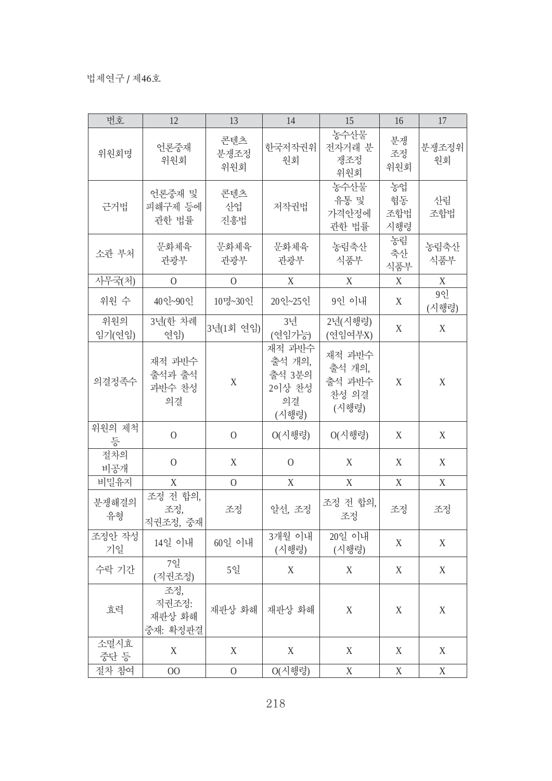| 번호            | 12                                 | 13                 | 14                                                  | 15                                           | 16                     | 17          |
|---------------|------------------------------------|--------------------|-----------------------------------------------------|----------------------------------------------|------------------------|-------------|
| 위원회명          | 언론중재<br>위원회                        | 콘텐츠<br>분쟁조정<br>위원회 | 한국저작권위<br>원회                                        | 농수산물<br>전자거래 분<br>쟁조정<br>위원회                 | 분쟁<br>조정<br>위원회        | 분쟁조정위<br>원회 |
| 근거법           | 언론중재 및<br>피해구제 등에<br>관한 법률         | 콘텐츠<br>산업<br>진흥법   | 저작권법                                                | 농수산물<br>유통 및<br>가격안정에<br>관한 법률               | 농업<br>협동<br>조합법<br>시행령 | 산림<br>조합법   |
| 소관 부처         | 문화체육<br>관광부                        | 문화체육<br>관광부        | 문화체육<br>관광부                                         | 농림축산<br>식품부                                  | 농림<br>축산<br>식품부        | 농림축산<br>식품부 |
| 사무국(처)        | $\overline{O}$                     | $\overline{O}$     | X                                                   | X                                            | X                      | X           |
| 위원 수          | 40인~90인                            | 10명~30인            | 20인~25인                                             | 9인 이내                                        | X                      | 9인<br>(시행령) |
| 위원의<br>임기(연임) | 3년(한 차례<br>연임)                     | 3년(1회 연임)          | 3년<br>(연임가능)                                        | 2년(시행령)<br>(연임여부X)                           | $\mathbf X$            | X           |
| 의결정족수         | 재적 과반수<br>출석과 출석<br>과반수 찬성<br>의결   | $\mathbf X$        | 재적 과반수<br>출석 개의,<br>출석 3분의<br>2이상 찬성<br>의결<br>(시행령) | 재적 과반수<br>출석 개의,<br>출석 과반수<br>찬성 의결<br>(시행령) | $\mathbf X$            | $\mathbf X$ |
| 위원의 제척<br>등   | $\overline{0}$                     | $\mathbf{O}$       | $O(\lambda$ 행령)                                     | O(시행령)                                       | X                      | X           |
| 절차의<br>비공개    | $\overline{0}$                     | X                  | $\Omega$                                            | X                                            | X                      | X           |
| 비밀유지          | X                                  | $\overline{O}$     | X                                                   | X                                            | X                      | X           |
| 분쟁해결의<br>유형   | 조정 전 합의,<br>조정,<br>직권조정, 중재        | 조정                 | 알선, 조정                                              | 조정 전 합의,<br>조정                               | 조정                     | 조정          |
| 조정안 작성<br>기일  | 14일 이내                             | 60일 이내             | 3개월 이내<br>(시행령)                                     | 20일 이내<br>(시행령)                              | X                      | X           |
| 수락 기간         | 7일<br>(직권조정)                       | 5일                 | X                                                   | X                                            | X                      | $\mathbf X$ |
| 효력            | 조정,<br>직권조정:<br>재판상 화해<br>중재: 확정판결 | 재판상 화해             | 재판상 화해                                              | $\mathbf X$                                  | X                      | $\mathbf X$ |
| 소멸시효<br>중단 등  | X                                  | X                  | X                                                   | X                                            | X                      | X           |
| 절차 참여         | 00                                 | $\mathbf{0}$       | $O(\lambda$ 행령)                                     | $\mathbf X$                                  | $\mathbf X$            | $\mathbf X$ |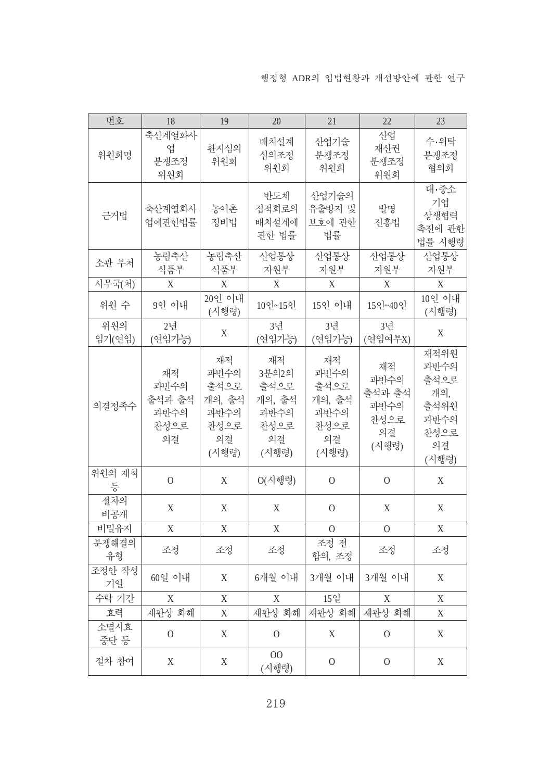| 번호            | 18                                         | 19                                                          | 20                                                           | 21                                                          | 22                                                  | 23                                                                 |
|---------------|--------------------------------------------|-------------------------------------------------------------|--------------------------------------------------------------|-------------------------------------------------------------|-----------------------------------------------------|--------------------------------------------------------------------|
| 위원회명          | 축산계열화사<br>업<br>분쟁조정<br>위원회                 | 환지심의<br>위원회                                                 | 배치설계<br>심의조정<br>위원회                                          | 산업기술<br>분쟁조정<br>위원회                                         | 산업<br>재산권<br>분쟁조정<br>위원회                            | 수·위탁<br>분쟁조정<br>협의회                                                |
| 근거법           | 축산계열화사<br>업에관한법률                           | 농어촌<br>정비법                                                  | 반도체<br>집적회로의<br>배치설계에<br>관한 법률                               | 산업기술의<br>유출방지 및<br>보호에 관한<br>법률                             | 발명<br>진흥법                                           | 대·중소<br>기업<br>상생협력<br>촉진에 관한<br>법률 시행령                             |
| 소관 부처         | 농림축산<br>식품부                                | 농림축산<br>식품부                                                 | 산업통상<br>자원부                                                  | 산업통상<br>자원부                                                 | 산업통상<br>자원부                                         | 산업통상<br>자원부                                                        |
| 사무국(처)        | X                                          | X                                                           | X                                                            | X                                                           | X                                                   | X                                                                  |
| 위원 수          | 9인 이내                                      | 20인 이내<br>(시행령)                                             | 10인~15인                                                      | 15인 이내                                                      | $15$ sl <sub>~40</sub> sl                           | 10인 이내<br>(시행령)                                                    |
| 위원의<br>임기(연임) | 2년<br>(연임가능)                               | X                                                           | 3년<br>(연임가능)                                                 | 3년<br>(연임가능)                                                | 3년<br>(연임여부X)                                       | $\mathbf X$                                                        |
| 의결정족수         | 재적<br>과반수의<br>출석과 출석<br>과반수의<br>찬성으로<br>의결 | 재적<br>과반수의<br>출석으로<br>개의, 출석<br>과반수의<br>찬성으로<br>의결<br>(시행령) | 재적<br>3분의2의<br>출석으로<br>개의, 출석<br>과반수의<br>찬성으로<br>의결<br>(시행령) | 재적<br>과반수의<br>출석으로<br>개의, 출석<br>과반수의<br>찬성으로<br>의결<br>(시행령) | 재적<br>과반수의<br>출석과 출석<br>과반수의<br>찬성으로<br>의결<br>(시행령) | 재적위원<br>과반수의<br>출석으로<br>개의,<br>출석위원<br>과반수의<br>찬성으로<br>의결<br>(시행령) |
| 위원의 제척<br>등   | $\overline{0}$                             | X                                                           | O(시행령)                                                       | $\overline{O}$                                              | $\overline{O}$                                      | $\boldsymbol{\mathrm{X}}$                                          |
| 절차의<br>비공개    | $\boldsymbol{\mathrm{X}}$                  | X                                                           | X                                                            | $\mathbf{O}$                                                | X                                                   | X                                                                  |
| 비밀유지          | X                                          | X                                                           | X                                                            | $\overline{0}$                                              | $\Omega$                                            | X                                                                  |
| 분쟁해결의<br>유형   | 조정                                         | 조정                                                          | 조정                                                           | 조정 전<br>합의, 조정                                              | 조정                                                  | 조정                                                                 |
| 조정안 작성<br>기일  | 60일 이내                                     | X                                                           | 6개월 이내                                                       | 3개월 이내                                                      | 3개월 이내                                              | X                                                                  |
| 수락 기간         | X                                          | X                                                           | X                                                            | 15일                                                         | X                                                   | X                                                                  |
| 효력            | 재판상 화해                                     | X                                                           | 재판상 화해                                                       | 재판상 화해                                                      | 재판상 화해                                              | X                                                                  |
| 소멸시효<br>중단 등  | $\mathbf{O}$                               | X                                                           | $\mathbf{0}$                                                 | X                                                           | $\mathbf{0}$                                        | $\mathbf X$                                                        |
| 절차 참여         | $\mathbf X$                                | X                                                           | 00<br>(시행령)                                                  | $\mathbf{O}$                                                | $\mathbf{O}$                                        | X                                                                  |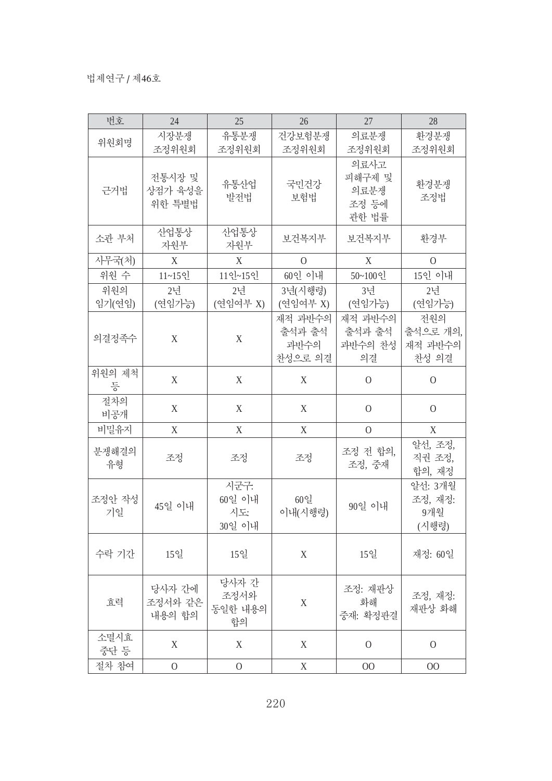| 번호            | 24                          | 25                             | 26                                   | 27                                       | 28                                  |
|---------------|-----------------------------|--------------------------------|--------------------------------------|------------------------------------------|-------------------------------------|
| 위원회명          | 시장분쟁<br>조정위원회               | 유통분쟁<br>조정위원회                  | 건강보험분쟁<br>조정위원회                      | 의료분쟁<br>조정위원회                            | 환경분쟁<br>조정위원회                       |
| 근거법           | 전통시장 및<br>상점가 육성을<br>위한 특별법 | 유통산업<br>발전법                    | 국민건강<br>보험법                          | 의료사고<br>피해구제 및<br>의료분쟁<br>조정 등에<br>관한 법률 | 환경분쟁<br>조정법                         |
| 소관 부처         | 산업통상<br>자원부                 | 산업통상<br>자원부                    | 보건복지부                                | 보건복지부                                    | 환경부                                 |
| 사무국(처)        | $\mathbf X$                 | $\boldsymbol{\mathrm{X}}$      | $\Omega$                             | X                                        | $\overline{0}$                      |
| 위원 수          | 11~15인                      | 11인~15인                        | 60인 이내                               | 50~100인                                  | 15인 이내                              |
| 위원의<br>임기(연임) | 2년<br>(연임가능)                | 2년<br>(연임여부 X)                 | 3년(시행령)<br>(연임여부 X)                  | 3년<br>(연임가능)                             | 2년<br>(연임가능)                        |
| 의결정족수         | X                           | $\mathbf X$                    | 재적 과반수의<br>출석과 출석<br>과반수의<br>찬성으로 의결 | 재적 과반수의<br>출석과 출석<br>과반수의 찬성<br>의결       | 전원의<br>출석으로 개의,<br>재적 과반수의<br>찬성 의결 |
| 위원의 제척<br>등   | $\mathbf X$                 | X                              | X                                    | $\mathbf{O}$                             | $\overline{0}$                      |
| 절차의<br>비공개    | X                           | X                              | X                                    | $\Omega$                                 | $\overline{0}$                      |
| 비밀유지          | X                           | X                              | X                                    | $\overline{O}$                           | X                                   |
| 분쟁해결의<br>유형   | 조정                          | 조정                             | 조정                                   | 조정 전 합의,<br>조정, 중재                       | 알선, 조정,<br>직권 조정,<br>합의, 재정         |
| 조정안 작성<br>기일  | 45일 이내                      | 시군구:<br>60일 이내<br>시도<br>30일 이내 | 60일<br>이내(시행령)                       | 90일 이내                                   | 알선: 3개월<br>조정, 재정:<br>9개월<br>(시행령)  |
| 수락 기간         | 15일                         | 15일                            | X                                    | 15일                                      | 재정: 60일                             |
| 효력            | 당사자 간에<br>조정서와 같은<br>내용의 합의 | 당사자 간<br>조정서와<br>동일한 내용의<br>합의 | X                                    | 조정: 재판상<br>화해<br>중재: 확정판결                | 조정, 재정:<br>재판상 화해                   |
| 소멸시효<br>중단 등  | X                           | X                              | X                                    | $\Omega$                                 | $\overline{0}$                      |
| 절차 참여         | $\Omega$                    | $\mathbf{O}$                   | X                                    | 00                                       | $00\,$                              |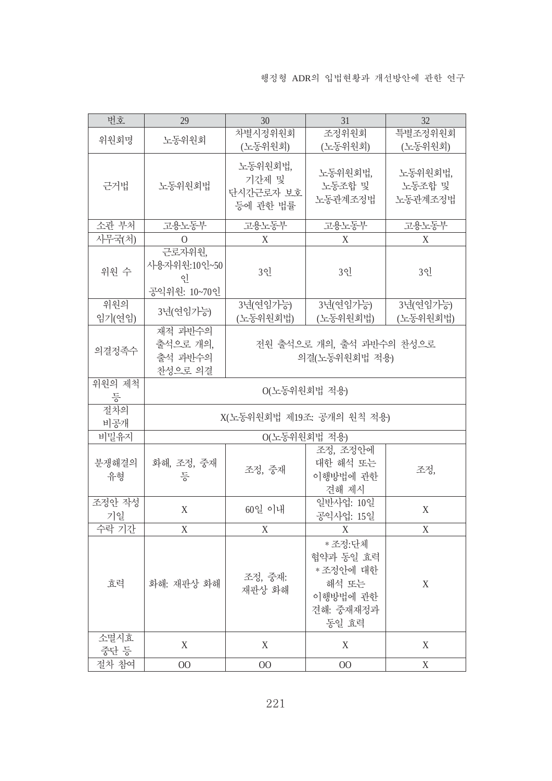| 번호            | 29                                           | 30                                        | 31                                                                          | 32                           |  |  |  |  |
|---------------|----------------------------------------------|-------------------------------------------|-----------------------------------------------------------------------------|------------------------------|--|--|--|--|
|               |                                              | 차별시정위원회                                   | 조정위원회                                                                       | 특별조정위원회                      |  |  |  |  |
| 위원회명          | 노동위원회                                        | (노동위원회)                                   | (노동위원회)                                                                     | (노동위원회)                      |  |  |  |  |
| 근거법           | 노동위원회법                                       | 노동위원회법,<br>기간제 및<br>단시간근로자 보호<br>등에 관한 법률 | 노동위원회법.<br>노동조합 및<br>노동관계조정법                                                | 노동위원회법,<br>노동조합 및<br>노동관계조정법 |  |  |  |  |
| 소관 부처         | 고용노동부                                        | 고용노동부                                     | 고용노동부                                                                       | 고용노동부                        |  |  |  |  |
| 사무국(처)        | $\Omega$                                     | X                                         | X                                                                           | X                            |  |  |  |  |
| 위원 수          | 근로자위원,<br>사용자위원:10인~50<br>٩l<br>공익위원: 10~70인 | 3인                                        | 3인                                                                          | 3인                           |  |  |  |  |
| 위원의<br>임기(연임) | 3년(연임가능)                                     | 3년(연임가능)<br>(노동위원회법)                      | 3년(연임가능)<br>(노동위원회법)                                                        | 3년(연임가능)<br>(노동위원회법)         |  |  |  |  |
| 의결정족수         | 재적 과반수의<br>출석으로 개의,<br>출석 과반수의<br>찬성으로 의결    | 전원 출석으로 개의, 출석 과반수의 찬성으로<br>의결(노동위원회법 적용) |                                                                             |                              |  |  |  |  |
| 위원의 제척<br>등   | 0(노동위원회법 적용)                                 |                                           |                                                                             |                              |  |  |  |  |
| 절차의<br>비공개    |                                              | X(노동위원회법 제19조: 공개의 원칙 적용)                 |                                                                             |                              |  |  |  |  |
| 비밀유지          |                                              | 0(노동위원회법 적용)                              |                                                                             |                              |  |  |  |  |
| 분쟁해결의<br>유형   | 화해, 조정, 중재<br>등                              | 조정, 중재                                    | 조정, 조정안에<br>대한 해석 또는<br>이행방법에 관한<br>견해 제시                                   | 조정,                          |  |  |  |  |
| 조정안 작성<br>기일  | X                                            | 60일 이내                                    | 일반사업: 10일<br>공익사업: 15일                                                      | X                            |  |  |  |  |
| 수락 기간         | X                                            | X                                         | X                                                                           | X                            |  |  |  |  |
| 효력            | 화해: 재판상 화해                                   | 조정, 중재:<br>재판상 화해                         | *조정:단체<br>협약과 동일 효력<br>* 조정안에 대한<br>해석 또는<br>이행방법에 관한<br>견해: 중재재정과<br>동일 효력 | X                            |  |  |  |  |
| 소멸시효<br>중단 등  | X                                            | X                                         | X                                                                           | X                            |  |  |  |  |
| 절차 참여         | $00\,$                                       | $00\,$                                    | $00\,$                                                                      | X                            |  |  |  |  |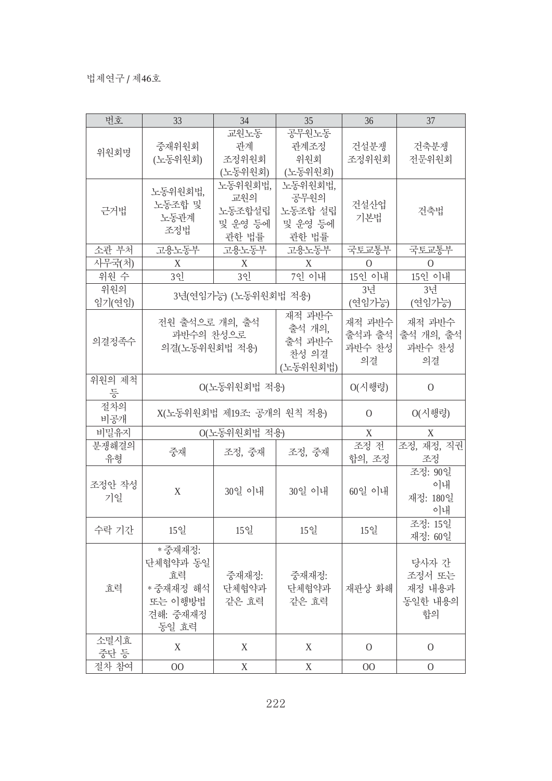| 번호     | 33             | 34                        | 35              | 36       | 37           |
|--------|----------------|---------------------------|-----------------|----------|--------------|
|        |                | 교원노동                      | 공무원노동           |          |              |
|        | 중재위원회          | 관계                        | 관계조정            | 건설분쟁     | 건축분쟁         |
| 위원회명   | (노동위원회)        | 조정위원회                     | 위원회             | 조정위원회    | 전문위원회        |
|        |                | (노동위원회)                   | (노동위원회)         |          |              |
|        |                | 노동위원회법,                   | 노동위원회법,         |          |              |
|        | 노동위원회법,        | 교원의                       | 공무원의            |          |              |
| 근거법    | 노동조합 및         | 노동조합설립                    | 노동조합 설립         | 건설산업     | 건축법          |
|        | 노동관계           | 및 운영 등에                   | 및 운영 등에         | 기본법      |              |
|        | 조정법            | 관한 법률                     | 관한 법률           |          |              |
| 소관 부처  | 고용노동부          | 고용노동부                     | 고용노동부           | 국토교통부    | 국토교통부        |
| 사무국(처) | X              | X                         | X               | $\Omega$ | 0            |
| 위원 수   | 3인             | 3인                        | 7인 이내           | 15인 이내   | 15인 이내       |
| 위원의    |                |                           |                 | 3년       | 3년           |
| 임기(연임) |                | 3년(연임가능) (노동위원회법 적용)      |                 | (연임가능)   | (연임가능)       |
|        |                |                           | 재적 과반수          |          |              |
|        | 전원 출석으로 개의, 출석 |                           | 출석 개의,          | 재적 과반수   | 재적 과반수       |
| 의결정족수  | 과반수의 찬성으로      |                           | 출석 과반수          | 출석과 출석   | 출석 개의, 출석    |
|        | 의결(노동위원회법 적용)  |                           | 찬성 의결           | 과반수 찬성   | 과반수 찬성       |
|        |                |                           | (노동위원회법)        | 의결       | 의결           |
| 위원의 제척 |                |                           |                 |          |              |
| 등      |                | 0(노동위원회법 적용)              | $O(\lambda$ 행령) | 0        |              |
| 절차의    |                |                           |                 |          |              |
| 비공개    |                | X(노동위원회법 제19조: 공개의 원칙 적용) |                 | $\Omega$ | O(시행령)       |
| 비밀유지   |                | 0(노동위원회법 적용)              |                 | X        | X            |
| 분쟁해결의  |                |                           |                 | 조정 전     | 조정, 재정, 직권   |
| 유형     | 중재             | 조정, 중재                    | 조정, 중재          | 합의, 조정   | 조정           |
|        |                |                           |                 |          | 조정: 90일      |
| 조정안 작성 |                |                           |                 |          | 이내           |
| 기일     | X              | 30일 이내                    | 30일 이내          | 60일 이내   | 재정: 180일     |
|        |                |                           |                 |          | 이내           |
|        |                |                           |                 |          | 조정: 15일      |
| 수락 기간  | 15일            | 15일                       | 15일             | 15일      | 재정: 60일      |
|        | * 중재재정:        |                           |                 |          |              |
|        | 단체협약과 동일       |                           |                 |          | 당사자 간        |
|        | 효력             | 중재재정:                     | 중재재정:           |          | 조정서 또는       |
| 효력     | *중재재정 해석       | 단체협약과                     | 단체협약과           | 재판상 화해   | 재정 내용과       |
|        | 또는 이행방법        | 같은 효력                     | 같은 효력           |          | 동일한 내용의      |
|        | 견해: 중재재정       |                           |                 |          | 합의           |
|        | 동일 효력          |                           |                 |          |              |
| 소멸시효   |                |                           |                 |          |              |
| 중단 등   | X              | X                         | $\mathbf X$     | $\Omega$ | $\mathbf{O}$ |
| 절차 참여  | 00             | $\mathbf X$               | $\mathbf X$     | 00       | $\mathbf{O}$ |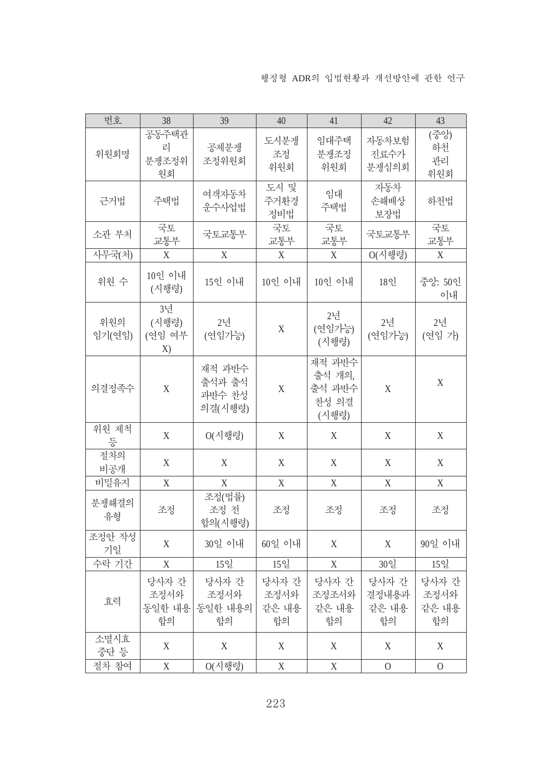| 번호            | 38                          | 39                                    | 40                           | 41                                           | 42                            | 43                           |
|---------------|-----------------------------|---------------------------------------|------------------------------|----------------------------------------------|-------------------------------|------------------------------|
| 위원회명          | 공동주택관<br>리<br>분쟁조정위<br>원회   | 공제분쟁<br>조정위원회                         | 도시분쟁<br>조정<br>위원회            | 임대주택<br>분쟁조정<br>위원회                          | 자동차보험<br>진료수가<br>분쟁심의회        | (중앙)<br>하천<br>관리<br>위원회      |
| 근거법           | 주택법                         | 여객자동차<br>운수사업법                        | 도시 및<br>주거환경<br>정비법          | 임대<br>주택법                                    | 자동차<br>손해배상<br>보장법            | 하천법                          |
| 소관 부처         | 국토<br>교통부                   | 국토교통부                                 | 국토<br>교통부                    | 국토<br>교통부                                    | 국토교통부                         | 국토<br>교통부                    |
| 사무국(처)        | X                           | $\mathbf X$                           | X                            | X                                            | $O(\lambda$ 행령)               | $\boldsymbol{\mathrm{X}}$    |
| 위원 수          | 10인 이내<br>(시행령)             | 15인 이내                                | 10인 이내                       | 10인 이내                                       | 18인                           | 중앙: 50인<br>이내                |
| 위원의<br>임기(연임) | 3년<br>(시행령)<br>(연임 여부<br>X) | 2년<br>(연임가능)                          | $\mathbf X$                  | 2년<br>(연임가능)<br>(시행령)                        | 2년<br>(연임가능)                  | 2년<br>(연임 가)                 |
| 의결정족수         | $\mathbf X$                 | 재적 과반수<br>출석과 출석<br>과반수 찬성<br>의결(시행령) | $\mathbf X$                  | 재적 과반수<br>출석 개의,<br>출석 과반수<br>찬성 의결<br>(시행령) | $\mathbf X$                   | $\mathbf X$                  |
| 위원 제척<br>등    | X                           | O(시행령)                                | X                            | X                                            | X                             | X                            |
| 절차의<br>비공개    | X                           | X                                     | X                            | X                                            | X                             | X                            |
| 비밀유지          | $\mathbf X$                 | $\mathbf X$                           | $\mathbf X$                  | $\boldsymbol{\mathrm{X}}$                    | $\mathbf X$                   | X                            |
| 분쟁해결의<br>유형   | 조정                          | 조정(법률)<br>조정 전<br>합의(시행령)             | 조정                           | 조정                                           | 조정                            | 조정                           |
| 조정안 작성<br>기일  | X                           | 30일 이내                                | 60일 이내                       | $\mathbf X$                                  | X                             | 90일 이내                       |
| 수락 기간         | X                           | 15일                                   | 15일                          | X                                            | 30일                           | 15일                          |
| 효력            | 당사자 간<br>조정서와<br>합의         | 당사자 간<br>조정서와<br>동일한 내용 동일한 내용의<br>합의 | 당사자 간<br>조정서와<br>같은 내용<br>합의 | 당사자 간<br>조정조서와  <br>같은 내용<br>합의              | 당사자 간<br>결정내용과<br>같은 내용<br>합의 | 당사자 간<br>조정서와<br>같은 내용<br>합의 |
| 소멸시효<br>중단 등  | X                           | X                                     | X                            | X                                            | X                             | X                            |
| 절차 참여         | $\mathbf X$                 | $O(\lambda$ 행령)                       | $\mathbf X$                  | $\mathbf X$                                  | $\overline{0}$                | $\overline{0}$               |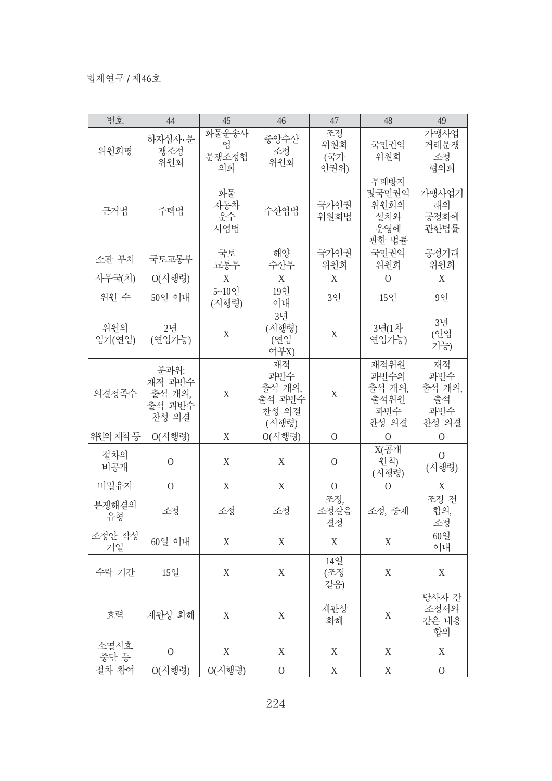| 번호            | 44                                          | 45                        | 46                                              | 47                       | 48                                             | 49                                        |
|---------------|---------------------------------------------|---------------------------|-------------------------------------------------|--------------------------|------------------------------------------------|-------------------------------------------|
| 위원회명          | 하자심사·분<br>쟁조정<br>위원회                        | 화물운송사<br>업<br>분쟁조정협<br>의회 | 중앙수산<br>조정<br>위원회                               | 조정<br>위원회<br>(국가<br>인권위) | 국민권익<br>위원회                                    | 가맹사업<br>거래분쟁<br>조정<br>협의회                 |
| 근거법           | 주택법                                         | 화물<br>자동차<br>운수<br>사업법    | 수산업법                                            | 국가인권<br>위원회법             | 부패방지<br>및국민권익<br>위원회의<br>설치와<br>운영에<br>관한 법률   | 가맹사업거<br>래의<br>공정화에<br>관한법률               |
| 소관 부처         | 국토교통부                                       | 국토<br>교통부                 | 해양<br>수산부                                       | 국가인권<br>위원회              | 국민권익<br>위원회                                    | 공정거래<br>위원회                               |
| 사무국(처)        | O(시행령)                                      | X                         | $\mathbf X$                                     | X                        | $\overline{0}$                                 | X                                         |
| 위원 수          | 50인 이내                                      | 5~10인<br>(시행령)            | $19$ 인<br>이내                                    | 3인                       | $15$ 인                                         | 99                                        |
| 위원의<br>임기(연임) | 2년<br>(연임가능)                                | $\mathbf X$               | 3년<br>(시행령)<br>(연임<br>여부X)                      | X                        | 3년(1차<br>연임가능)                                 | 3년<br>(연임<br>가능)                          |
| 의결정족수         | 분과위:<br>재적 과반수<br>출석 개의,<br>출석 과반수<br>찬성 의결 | $\mathbf X$               | 재적<br>과반수<br>출석 개의,<br>출석 과반수<br>찬성 의결<br>(시행령) | X                        | 재적위원<br>과반수의<br>출석 개의,<br>출석위원<br>과반수<br>찬성 의결 | 재적<br>과반수<br>출석 개의,<br>출석<br>과반수<br>찬성 의결 |
| 위원의 제척 등      | $O(\lambda$ ]행령)                            | X                         | O(시행령)                                          | $\overline{O}$           | $\Omega$                                       | $\Omega$                                  |
| 절차의<br>비공개    | $\overline{O}$                              | X                         | X                                               | $\Omega$                 | $X(\overline{\mathcal{Z}})$ 개<br>원칙)<br>(시행령)  | $\overline{0}$<br>(시행령)                   |
| 비밀유지          | $\Omega$                                    | X                         | X                                               | $\Omega$                 | $\overline{0}$                                 | X                                         |
| 분쟁해결의<br>유형   | 조정                                          | 조정                        | 조정                                              | 조정,<br>조정갈음<br>결정        | 조정, 중재                                         | 조정 전<br>합의,<br>조정                         |
| 조정안 작성<br>기일  | 60일 이내                                      | $\mathbf X$               | X                                               | X                        | X                                              | 60일<br>이내                                 |
| 수락 기간         | 15일                                         | X                         | X                                               | 14일<br>(조정<br>갈음)        | X                                              | $\mathbf X$                               |
| 효력            | 재판상 화해                                      | X                         | $\mathbf X$                                     | 재판상<br>화해                | $\mathbf X$                                    | 당사자 간<br>조정서와<br>같은 내용<br>합의              |
| 소멸시효<br>중단 등  | $\Omega$                                    | X                         | X                                               | X                        | X                                              | $\mathbf X$                               |
| 절차 참여         | $O(\lambda$ 행령)                             | $O(\lambda$ ] 행령)         | $\mathbf{O}$                                    | $\mathbf X$              | X                                              | $\mathbf{O}$                              |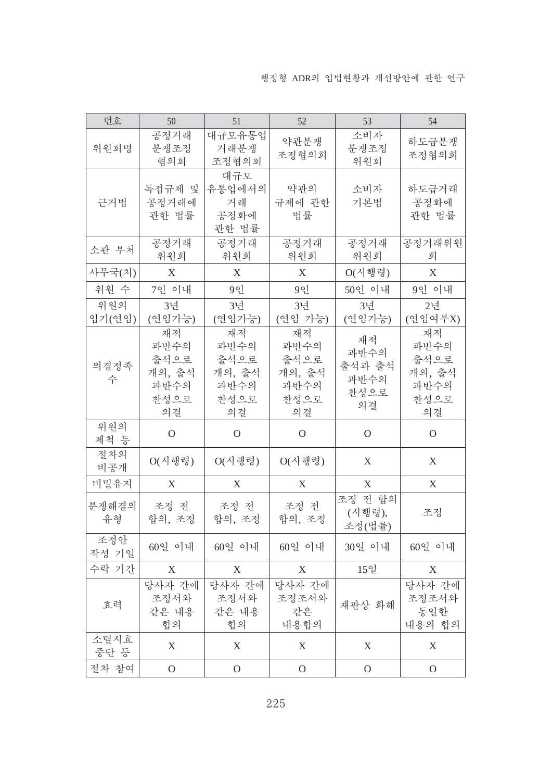| 번호            | 50                                                 | 51                                                       | 52                                                 | 53                                         | 54                                                 |
|---------------|----------------------------------------------------|----------------------------------------------------------|----------------------------------------------------|--------------------------------------------|----------------------------------------------------|
| 위원회명          | 공정거래<br>분쟁조정<br>협의회                                | 대규모유통업<br>거래분쟁<br>조정협의회                                  | 약관분쟁<br>조정협의회                                      | 소비자<br>분쟁조정<br>위원회                         | 하도급분쟁<br>조정협의회                                     |
| 근거법           | 독점규제 및<br>공정거래에<br>관한 법률                           | 대규모<br>유통업에서의<br>거래<br>공정화에<br>관한 법률                     | 약관의<br>규제에 관한<br>법률                                | 소비자<br>기본법                                 | 하도급거래<br>공정화에<br>관한 법률                             |
| 소관 부처         | 공정거래<br>위원회                                        | 공정거래<br>위원회                                              | 공정거래<br>위원회                                        | 공정거래<br>위원회                                | 공정거래위원<br>회                                        |
| 사무국(처)        | X                                                  | X                                                        | X                                                  | $O(\lambda   \vec{v}  \vec{v})$            | X                                                  |
| 위원 수          | 7인 이내                                              | 9 <sub>1</sub>                                           | 9인                                                 | 50인 이내                                     | 9인 이내                                              |
| 위원의<br>임기(연임) | 3년<br>(연임가능)                                       | 3년<br>(연임가능)                                             | 3년<br>(연임 가능)                                      | 3년<br>(연임가능)                               | 2년<br>(연임여부X)                                      |
| 의결정족<br>수     | 재적<br>과반수의<br>출석으로<br>개의, 출석<br>과반수의<br>찬성으로<br>의결 | 재적<br>과반수의<br>출석으로<br>개의, 출석<br>과반수의<br>찬성으로<br>의결       | 재적<br>과반수의<br>출석으로<br>개의, 출석<br>과반수의<br>찬성으로<br>의결 | 재적<br>과반수의<br>출석과 출석<br>과반수의<br>찬성으로<br>의결 | 재적<br>과반수의<br>출석으로<br>개의, 출석<br>과반수의<br>찬성으로<br>의결 |
| 위원의<br>제척 등   | $\mathcal{O}$                                      | $\Omega$                                                 | $\mathcal{O}$                                      | $\mathcal{O}$                              | $\Omega$                                           |
| 절차의<br>비공개    | $O(\lambda \vert \, \mathbb{N} \, \mathbb{R})$     | $O(\lambda \vert \, \mathrm{d} \vert \, \mathrm{d} \xi)$ | $O(\lambda$ ] 행령)                                  | X                                          | X                                                  |
| 비밀유지          | X                                                  | X                                                        | X                                                  | X                                          | X                                                  |
| 분쟁해결의<br>유형   | 조정 전<br>합의, 조정                                     | 조정 전<br>합의, 조정                                           | 조정 전<br>합의, 조정                                     | 조정 전 합의<br>(시행령),<br>조정(법률)                | 조정                                                 |
| 조정안<br>작성 기일  | 60일 이내                                             | 60일 이내                                                   | 60일 이내                                             | 30일 이내                                     | 60일 이내                                             |
| 수락 기간         | X                                                  | X                                                        | X                                                  | 15일                                        | X                                                  |
| 효력            | 당사자 간에<br>조정서와<br>같은 내용<br>합의                      | 당사자 간에<br>조정서와<br>같은 내용<br>합의                            | 당사자 간에<br>조정조서와<br>같은<br>내용합의                      | 재판상 화해                                     | 당사자 간에<br>조정조서와<br>동일한<br>내용의 합의                   |
| 소멸시효<br>중단 등  | $\boldsymbol{X}$                                   | X                                                        | X                                                  | $\boldsymbol{X}$                           | X                                                  |
| 절차 참여         | $\mathcal{O}$                                      | $\mathcal{O}$                                            | $\mathbf{O}$                                       | $\mathcal{O}$                              | $\mathcal{O}$                                      |

225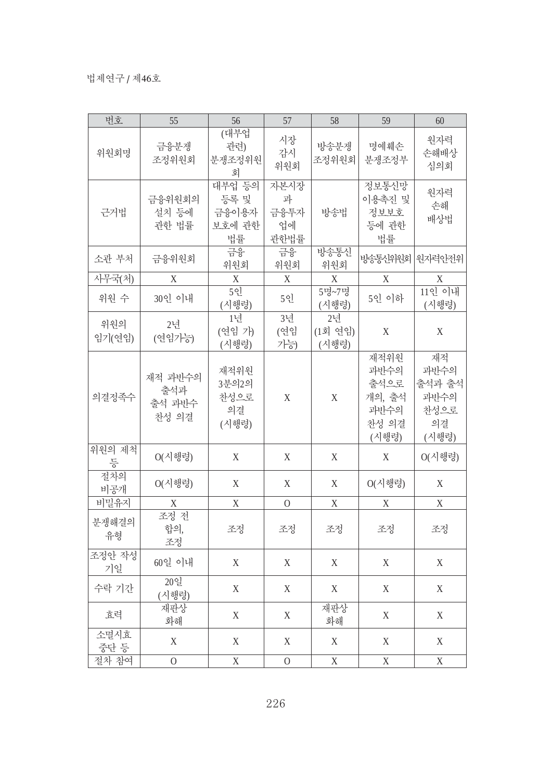| 번호            | 55                                | 56                                      | 57                              | 58                     | 59                                                       | 60                                                  |
|---------------|-----------------------------------|-----------------------------------------|---------------------------------|------------------------|----------------------------------------------------------|-----------------------------------------------------|
| 위원회명          | 금융분쟁<br>조정위원회                     | (대부업<br>관련)<br>분쟁조정위원<br>회              | 시장<br>감시<br>위원회                 | 방송분쟁<br>조정위원회          | 명예훼손<br>분쟁조정부                                            | 원자력<br>손해배상<br>심의회                                  |
| 근거법           | 금융위원회의<br>설치 등에<br>관한 법률          | 대부업 등의<br>등록 및<br>금융이용자<br>보호에 관한<br>법률 | 자본시장<br>과<br>금융투자<br>업에<br>관한법률 | 방송법                    | 정보통신망<br>이용촉진 및<br>정보보호<br>등에 관한<br>법률                   | 원자력<br>손해<br>배상법                                    |
| 소관 부처         | 금융위원회                             | 금융<br>위원회                               | 금융<br>위원회                       | 방송통신<br>위원회            | 방송통신위원회                                                  | 원자력안전위                                              |
| 사무국(처)        | X                                 | X                                       | X                               | X                      | X                                                        | X                                                   |
| 위원 수          | 30인 이내                            | 5인<br>(시행령)                             | 5인                              | 5명~7명<br>(시행령)         | 5인 이하                                                    | 11인 이내<br>(시행령)                                     |
| 위원의<br>임기(연임) | 2년<br>(연임가능)                      | 1년<br>(연임 가)<br>(시행령)                   | 3년<br>(연임<br>가능)                | 2년<br>(1회 연임)<br>(시행령) | $\mathbf X$                                              | X                                                   |
| 의결정족수         | 재적 과반수의<br>출석과<br>출석 과반수<br>찬성 의결 | 재적위원<br>3분의2의<br>찬성으로<br>의결<br>(시행령)    | X                               | $\mathbf X$            | 재적위원<br>과반수의<br>출석으로<br>개의, 출석<br>과반수의<br>찬성 의결<br>(시행령) | 재적<br>과반수의<br>출석과 출석<br>과반수의<br>찬성으로<br>의결<br>(시행령) |
| 위원의 제척<br>등   | $O(\lambda$ 행령)                   | X                                       | X                               | X                      | X                                                        | $O(\lambda$ 행령)                                     |
| 절차의<br>비공개    | $O(\lambda$ 행령)                   | $\mathbf X$                             | X                               | X                      | O(시행령)                                                   | X                                                   |
| 비밀유지          | X                                 | X                                       | $\Omega$                        | X                      | X                                                        | X                                                   |
| 분쟁해결의<br>유형   | 조정 전<br>합의,<br>조정                 | 조정                                      | 조정                              | 조정                     | 조정                                                       | 조정                                                  |
| 조정안 작성<br>기일  | 60일 이내                            | X                                       | X                               | X                      | $\mathbf X$                                              | X                                                   |
| 수락 기간         | 20일<br>(시행령)                      | X                                       | X                               | X                      | X                                                        | X                                                   |
| 효력            | 재판상<br>화해                         | $\mathbf X$                             | $\mathbf X$                     | 재판상<br>화해              | $\mathbf X$                                              | X                                                   |
| 소멸시효<br>중단 등  | X                                 | X                                       | X                               | $\mathbf X$            | X                                                        | X                                                   |
| 절차 참여         | $\mathbf{O}$                      | $\mathbf X$                             | $\mathbf{O}$                    | $\mathbf X$            | $\mathbf X$                                              | $\mathbf X$                                         |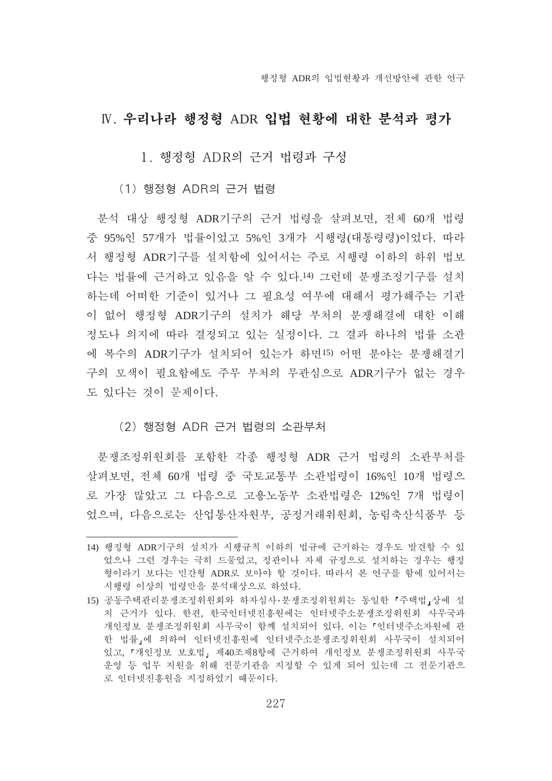## IV. 우리나라 행정형 ADR 입법 현황에 대한 분석과 평가

1. 행정형 ADR의 근거 법령과 구성

#### (1) 행정형 ADR의 근거 법령

분석 대상 행정형 ADR기구의 근거 법령을 살펴보면, 전체 60개 법령 중 95%인 57개가 법률이었고 5%인 3개가 시행령(대통령령)이었다. 따라 서 행정형 ADR기구를 설치함에 있어서는 주로 시행령 이하의 하위 법보 다는 법률에 근거하고 있음을 알 수 있다.14) 그런데 분쟁조정기구를 설치 하는데 어떠한 기준이 있거나 그 필요성 여부에 대해서 평가해주는 기관 이 없어 행정형 ADR기구의 설치가 해당 부처의 분쟁해결에 대한 이해 정도나 의지에 따라 결정되고 있는 실정이다. 그 결과 하나의 법률 소관 에 복수의 ADR기구가 설치되어 있는가 하면15) 어떤 분야는 분쟁해결기 구의 모색이 필요함에도 주무 부처의 무관심으로 ADR기구가 없는 경우 도 있다는 것이 문제이다.

#### (2) 행정형 ADR 근거 법령의 소관부처

분쟁조정위원회를 포함한 각종 행정형 ADR 근거 법령의 소관부처를 살펴보면, 전체 60개 법령 중 국토교통부 소관법령이 16%인 10개 법령으 로 가장 많았고 그 다음으로 고용노동부 소관법령은 12%인 7개 법령이 었으며, 다음으로는 산업통산자원부, 공정거래위원회, 농림축산식품부 등

<sup>14)</sup> 행정형 ADR기구의 설치가 시행규칙 이하의 법규에 근거하는 경우도 발견할 수 있 었으나 그런 경우는 극히 드물었고, 정관이나 자체 규정으로 설치하는 경우는 행정 형이라기 보다는 민간형 ADR로 보아야 할 것이다. 따라서 본 연구를 함에 있어서는 시행령 이상의 법령만을 분석대상으로 하였다.

<sup>15)</sup> 공동주택관리분쟁조정위원회와 하자심사·분쟁조정위원회는 동일한 「주택법」상에 설 치 근거가 있다. 한편, 한국인터넷진흥원에는 인터넷주소분쟁조정위원회 사무국과 개인정보 분쟁조정위원회 사무국이 함께 설치되어 있다. 이는 「인터넷주소자원에 관 한 법률,에 의하여 인터넷진홍원에 이터넷주소분쟁조정위원회 사무국이 설치되어 있고, 『개인정보 보호법』 제40조제8항에 근거하여 개인정보 분쟁조정위원회 사무국 운영 등 업무 지원을 위해 전문기관을 지정할 수 있게 되어 있는데 그 전문기관으 로 인터넷진흥원을 지정하였기 때문이다.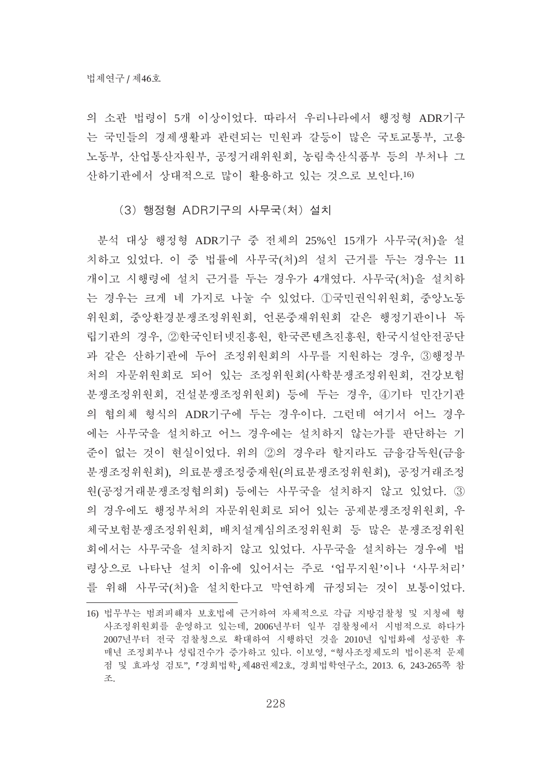의 소관 법령이 5개 이상이었다. 따라서 우리나라에서 행정형 ADR기구 는 국민들의 경제생활과 관련되는 민원과 갈등이 많은 국토교통부, 고용 노동부, 산업통산자원부, 공정거래위원회, 농림축산식품부 등의 부처나 그 산하기관에서 상대적으로 많이 활용하고 있는 것으로 보인다.16)

#### (3) 행정형 ADR기구의 사무국(처) 설치

분석 대상 행정형 ADR기구 중 전체의 25%인 15개가 사무국(처)을 설 치하고 있었다. 이 중 법률에 사무국(처)의 설치 근거를 두는 경우는 11 개이고 시행령에 설치 근거를 두는 경우가 4개였다. 사무국(처)을 설치하 는 경우는 크게 네 가지로 나눌 수 있었다. ①국민권익위원회, 중앙노동 위원회, 중앙환경분쟁조정위원회, 언론중재위원회 같은 행정기관이나 독 립기관의 경우, ②한국인터넷진흥원, 한국콘텐츠진흥원, 한국시설안전공단 과 같은 산하기관에 두어 조정위원회의 사무를 지원하는 경우, 3)행정부 처의 자문위원회로 되어 있는 조정위원회(사학분쟁조정위원회, 건강보험 분쟁조정위원회, 건설분쟁조정위원회) 등에 두는 경우, 4기타 민간기관 의 협의체 형식의 ADR기구에 두는 경우이다. 그런데 여기서 어느 경우 에는 사무국을 설치하고 어느 경우에는 설치하지 않는가를 판단하는 기 준이 없는 것이 현실이었다. 위의 ②의 경우라 할지라도 금융감독원(금융 분쟁조정위원회), 의료분쟁조정중재원(의료분쟁조정위원회), 공정거래조정 원(공정거래분쟁조정협의회) 등에는 사무국을 설치하지 않고 있었다. ③ 의 경우에도 행정부처의 자문위원회로 되어 있는 공제분쟁조정위원회, 우 체국보험분쟁조정위원회, 배치설계심의조정위원회 등 많은 분쟁조정위원 회에서는 사무국을 설치하지 않고 있었다. 사무국을 설치하는 경우에 법 령상으로 나타난 설치 이유에 있어서는 주로 '업무지워'이나 '사무처리' 를 위해 사무국(처)을 설치한다고 막연하게 규정되는 것이 보통이었다.

<sup>16)</sup> 법무부는 범죄피해자 보호법에 근거하여 자체적으로 각급 지방검찰청 및 지청에 형 사조정위원회를 운영하고 있는데, 2006년부터 일부 검찰청에서 시범적으로 하다가 2007년부터 전국 검찰청으로 확대하여 시행하던 것을 2010년 입법화에 성공한 후 매년 조정회부나 성립건수가 증가하고 있다. 이보영, "형사조정제도의 법이론적 문제 점 및 효과성 검토", 『경희법학』제48권제2호, 경희법학연구소, 2013. 6, 243-265쪽 참 癝.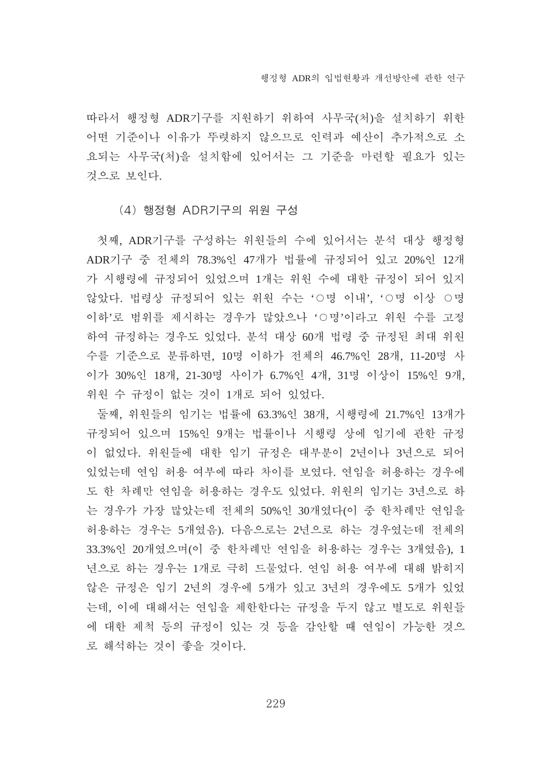따라서 행정형 ADR기구를 지워하기 위하여 사무국(처)을 설치하기 위한 어떤 기준이나 이유가 뚜렷하지 않으므로 인력과 예산이 추가적으로 소 요되는 사무국(처)을 설치함에 있어서는 그 기준을 마련할 필요가 있는 것으로 보인다.

(4) 행정형 ADR기구의 위원 구성

첫째, ADR기구를 구성하는 위원들의 수에 있어서는 분석 대상 행정형 ADR기구 중 전체의 78.3%인 47개가 법률에 규정되어 있고 20%인 12개 가 시행령에 규정되어 있었으며 1개는 위원 수에 대한 규정이 되어 있지 않았다. 법령상 규정되어 있는 위원 수는 'O명 이내', 'O명 이상 O명 이하'로 범위를 제시하는 경우가 많았으나 '○명'이라고 위원 수를 고정 하여 규정하는 경우도 있었다. 분석 대상 60개 법령 중 규정된 최대 위원 수를 기준으로 분류하면, 10명 이하가 전체의 46.7%인 28개, 11-20명 사 이가 30%인 18개, 21-30명 사이가 6.7%인 4개, 31명 이상이 15%인 9개, 위원 수 규정이 없는 것이 1개로 되어 있었다.

둘째, 위원들의 임기는 법률에 63.3%인 38개, 시행령에 21.7%인 13개가 규정되어 있으며 15%인 9개는 법률이나 시행령 상에 임기에 관한 규정 이 없었다. 위원들에 대한 임기 규정은 대부분이 2년이나 3년으로 되어 있었는데 연임 허용 여부에 따라 차이를 보였다. 연임을 허용하는 경우에 도 한 차례만 연임을 허용하는 경우도 있었다. 위원의 임기는 3년으로 하 는 경우가 가장 많았는데 전체의 50%인 30개였다(이 중 한차례만 연임을 허용하는 경우는 5개였음). 다음으로는 2년으로 하는 경우였는데 전체의 33.3%인 20개였으며(이 중 한차례만 연임을 허용하는 경우는 3개였음), 1 년으로 하는 경우는 1개로 극히 드물었다. 연임 허용 여부에 대해 밝히지 않은 규정은 임기 2년의 경우에 5개가 있고 3년의 경우에도 5개가 있었 는데, 이에 대해서는 연임을 제한한다는 규정을 두지 않고 별도로 위원들 에 대한 제척 등의 규정이 있는 것 등을 감안할 때 연임이 가능한 것으 로 해석하는 것이 좋을 것이다.

229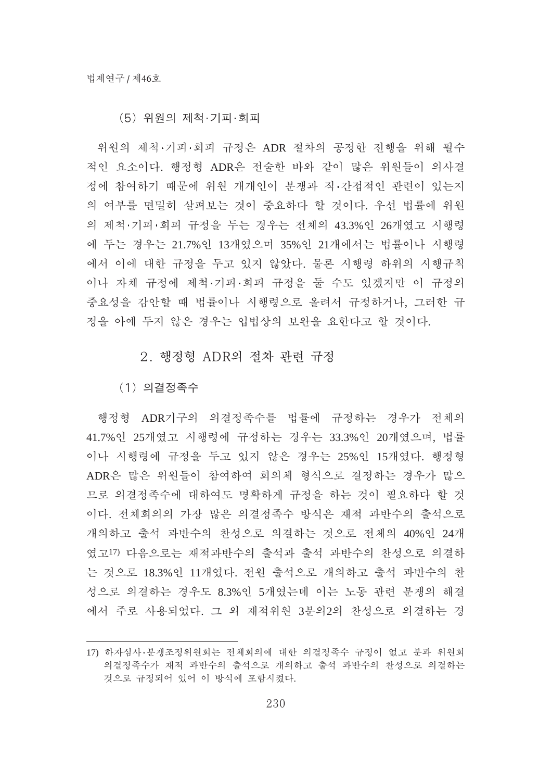#### (5) 위원의 제척·기피·회피

위원의 제척·기피·회피 규정은 ADR 절차의 공정한 진행을 위해 필수 적인 요소이다. 행정형 ADR은 전술한 바와 같이 많은 위원들이 의사결 정에 참여하기 때문에 위원 개개인이 분쟁과 직·간접적인 관련이 있는지 의 여부를 면밀히 살펴보는 것이 중요하다 할 것이다. 우선 법률에 위원 의 제척·기피·회피 규정을 두는 경우는 전체의 43.3%인 26개였고 시행령 에 두는 경우는 21.7%인 13개였으며 35%인 21개에서는 법률이나 시행령 에서 이에 대한 규정을 두고 있지 않았다. 물론 시행령 하위의 시행규칙 이나 자체 규정에 제척 기피 회피 규정을 둘 수도 있겠지만 이 규정의 중요성을 감안할 때 법률이나 시행령으로 올려서 규정하거나, 그러한 규 정을 아예 두지 않은 경우는 입법상의 보완을 요한다고 할 것이다.

#### 2. 행정형 ADR의 절차 과력 규정

(1) 의결정족수

행정형 ADR기구의 의결정족수를 법률에 규정하는 경우가 전체의 41.7%인 25개였고 시행령에 규정하는 경우는 33.3%인 20개였으며, 법률 이나 시행령에 규정을 두고 있지 않은 경우는 25%인 15개였다. 행정형 ADR은 많은 위원들이 참여하여 회의체 형식으로 결정하는 경우가 많으 므로 의결정족수에 대하여도 명확하게 규정을 하는 것이 필요하다 할 것 이다. 전체회의의 가장 많은 의결정족수 방식은 재적 과반수의 출석으로 개의하고 출석 과반수의 찬성으로 의결하는 것으로 전체의 40%인 24개 였고17) 다음으로는 재적과반수의 출석과 출석 과반수의 찬성으로 의결하 는 것으로 18.3%인 11개였다. 전원 출석으로 개의하고 출석 과반수의 찬 성으로 의결하는 경우도 8.3%인 5개였는데 이는 노동 관련 분쟁의 해결 에서 주로 사용되었다. 그 외 재적위원 3분의2의 찬성으로 의결하는 경

<sup>17)</sup> 하자심사·분쟁조정위원회는 전체회의에 대한 의결정족수 규정이 없고 분과 위원회 의결정족수가 재적 과반수의 출석으로 개의하고 출석 과반수의 찬성으로 의결하는 것으로 규정되어 있어 이 방식에 포함시켰다.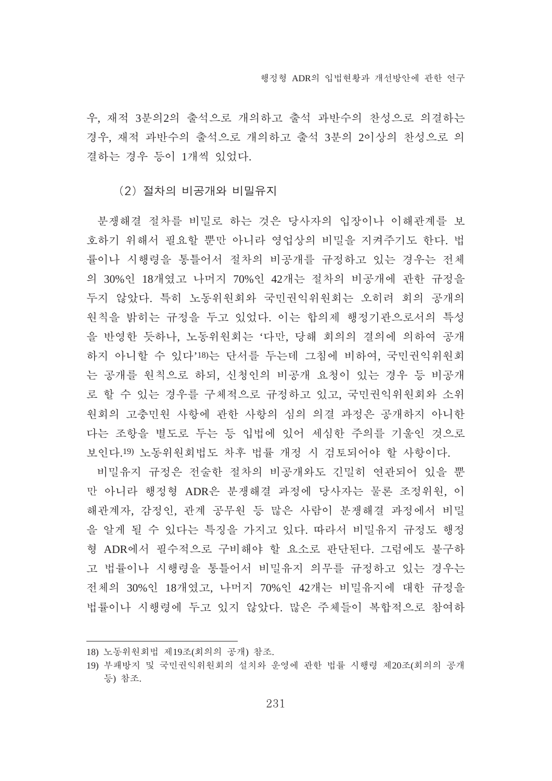우. 재적 3부의2의 출석으로 개의하고 출석 과반수의 찬성으로 의결하는 경우, 재적 과반수의 출석으로 개의하고 출석 3분의 2이상의 찬성으로 의 결하는 경우 등이 1개씩 있었다.

#### (2) 절차의 비공개와 비밀유지

분쟁해결 절차를 비밀로 하는 것은 당사자의 입장이나 이해관계를 보 호하기 위해서 필요할 뿐만 아니라 영업상의 비밀을 지켜주기도 한다. 법 률이나 시행령을 통틀어서 절차의 비공개를 규정하고 있는 경우는 전체 의 30%인 18개였고 나머지 70%인 42개는 절차의 비공개에 관한 규정을 두지 않았다. 특히 노동위원회와 국민권익위원회는 오히려 회의 공개의 원칙을 밝히는 규정을 두고 있었다. 이는 합의제 행정기관으로서의 특성 을 반영한 듯하나, 노동위원회는 '다만, 당해 회의의 결의에 의하여 공개 하지 아니할 수 있다'18)는 단서를 두는데 그침에 비하여, 국민권익위원회 는 공개를 원칙으로 하되, 신청인의 비공개 요청이 있는 경우 등 비공개 로 할 수 있는 경우를 구체적으로 규정하고 있고, 국민권익위원회와 소위 원회의 고충민원 사항에 관한 사항의 심의 의결 과정은 공개하지 아니한 다는 조항을 별도로 두는 등 입법에 있어 세심한 주의를 기울인 것으로 보인다.19) 노동위원회법도 차후 법률 개정 시 검토되어야 할 사항이다.

비밀유지 규정은 전술한 절차의 비공개와도 긴밀히 연관되어 있을 뿐 만 아니라 행정형 ADR은 분쟁해결 과정에 당사자는 물론 조정위원, 이 해관계자, 감정인, 관계 공무원 등 많은 사람이 분쟁해결 과정에서 비밀 을 알게 될 수 있다는 특징을 가지고 있다. 따라서 비밀유지 규정도 행정 형 ADR에서 필수적으로 구비해야 할 요소로 판단된다. 그럼에도 불구하 고 법률이나 시행령을 통틀어서 비밀유지 의무를 규정하고 있는 경우는 전체의 30%인 18개였고, 나머지 70%인 42개는 비밀유지에 대한 규정을 법률이나 시행령에 두고 있지 않았다. 많은 주체들이 복합적으로 참여하

<sup>18)</sup> 노동위원회법 제19조(회의의 공개) 참조.

<sup>19)</sup> 부패방지 및 국민권익위원회의 설치와 운영에 관한 법률 시행령 제20조(회의의 공개 등) 참조.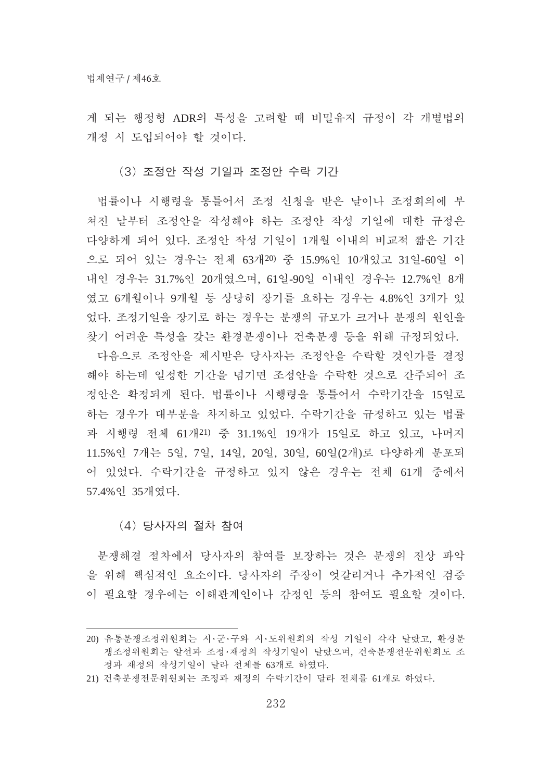게 되는 행정형 ADR의 특성을 고려할 때 비밀유지 규정이 각 개별법의 개정 시 도입되어야 할 것이다.

(3) 조정안 작성 기일과 조정안 수락 기간

법률이나 시행령을 통틀어서 조정 신청을 받은 날이나 조정회의에 부 쳐진 날부터 조정아을 작성해야 하는 조정안 작성 기일에 대한 규정은 다양하게 되어 있다. 조정안 작성 기일이 1개월 이내의 비교적 짧은 기간 으로 되어 있는 경우는 전체 63개20) 중 15.9%의 10개였고 31일-60일 이 내인 경우는 31.7%인 20개였으며, 61일-90일 이내인 경우는 12.7%인 8개 였고 6개월이나 9개월 등 상당히 장기를 요하는 경우는 4.8%인 3개가 있 었다. 조정기일을 장기로 하는 경우는 분쟁의 규모가 크거나 분쟁의 원인을 창기 어려운 특성을 갖는 환경분쟁이나 건축분쟁 등을 위해 규정되었다.

다음으로 조정안을 제시받은 당사자는 조정안을 수락할 것인가를 결정 해야 하는데 일정한 기간을 넘기면 조정안을 수락한 것으로 간주되어 조 정안은 확정되게 된다. 법률이나 시행령을 통틀어서 수락기간을 15일로 하는 경우가 대부분을 차지하고 있었다. 수락기간을 규정하고 있는 법률 과 시행령 전체 61개21) 중 31.1%인 19개가 15일로 하고 있고, 나머지 11.5%인 7개는 5일, 7일, 14일, 20일, 30일, 60일(2개)로 다양하게 분포되 어 있었다. 수락기간을 규정하고 있지 않은 경우는 전체 61개 중에서 57.4%인 35개였다.

#### (4) 당사자의 절차 참여

분쟁해결 절차에서 당사자의 참여를 보장하는 것은 분쟁의 진상 파악 을 위해 핵심적인 요소이다. 당사자의 주장이 엇갈리거나 추가적인 검증 이 필요할 경우에는 이해관계인이나 감정인 등의 참여도 필요할 것이다.

<sup>20)</sup> 유통분쟁조정위원회는 시·군·구와 시·도위원회의 작성 기일이 각각 달랐고, 환경분 쟁조정위원회는 알선과 조정·재정의 작성기일이 달랐으며, 건축분쟁전문위원회도 조 정과 재정의 작성기일이 달라 전체를 63개로 하였다.

<sup>21)</sup> 건축분쟁전문위원회는 조정과 재정의 수락기간이 달라 전체를 61개로 하였다.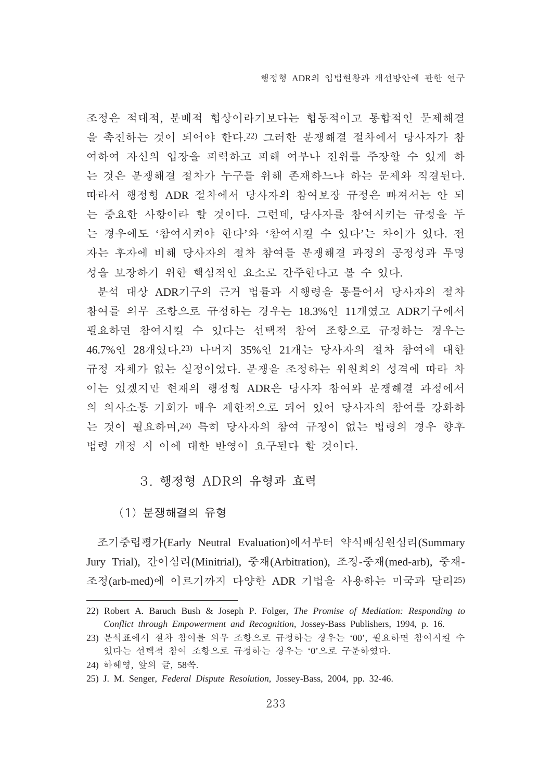조정은 적대적, 분배적 협상이라기보다는 협동적이고 통합적인 문제해결 을 촉진하는 것이 되어야 한다.22) 그러한 분쟁해결 절차에서 당사자가 참 여하여 자신의 입장을 피력하고 피해 여부나 진위를 주장할 수 있게 하 는 것은 분쟁해결 절차가 누구를 위해 존재하느냐 하는 문제와 직결된다. 따라서 행정형 ADR 절차에서 당사자의 참여보장 규정은 빠져서는 안 되 는 중요한 사항이라 할 것이다. 그런데, 당사자를 참여시키는 규정을 두 는 경우에도 '참여시켜야 한다'와 '참여시킬 수 있다'는 차이가 있다. 전 자는 후자에 비해 당사자의 절차 참여를 분쟁해결 과정의 공정성과 투명 성을 보장하기 위한 핵심적인 요소로 간주한다고 볼 수 있다.

분석 대상 ADR기구의 근거 법률과 시행령을 통틀어서 당사자의 절차 참여를 의무 조항으로 규정하는 경우는 18.3%인 11개였고 ADR기구에서 필요하면 참여시킬 수 있다는 선택적 참여 조항으로 규정하는 경우는 46.7%인 28개였다.23) 나머지 35%인 21개는 당사자의 절차 참여에 대한 규정 자체가 없는 실정이었다. 분쟁을 조정하는 위원회의 성격에 따라 차 이는 있겠지만 현재의 행정형 ADR은 당사자 참여와 분쟁해결 과정에서 의 의사소통 기회가 매우 제한적으로 되어 있어 당사자의 참여를 강화하 는 것이 필요하며, 24) 특히 당사자의 참여 규정이 없는 법령의 경우 향후 법령 개정 시 이에 대한 반영이 요구된다 할 것이다.

#### 3. 행정형 ADR의 유형과 효력

(1) 분쟁해결의 유형

조기중립평가(Early Neutral Evaluation)에서부터 약식배심원심리(Summary Jury Trial), 간이심리(Minitrial), 중재(Arbitration), 조정-중재(med-arb), 중재-조정(arb-med)에 이르기까지 다양한 ADR 기법을 사용하는 미국과 달리25)

<sup>22)</sup> Robert A. Baruch Bush & Joseph P. Folger, *The Promise of Mediation: Responding to Conflict through Empowerment and Recognition*, Jossey-Bass Publishers, 1994, p. 16.

<sup>23)</sup> 분석표에서 절차 참여를 의무 조항으로 규정하는 경우는 '00', 필요하면 참여시킬 수 있다는 선택적 참여 조항으로 규정하는 경우는 '0'으로 구분하였다.

<sup>24)</sup> 하혜영, 앞의 글, 58쪽.

<sup>25)</sup> J. M. Senger, *Federal Dispute Resolution*, Jossey-Bass, 2004, pp. 32-46.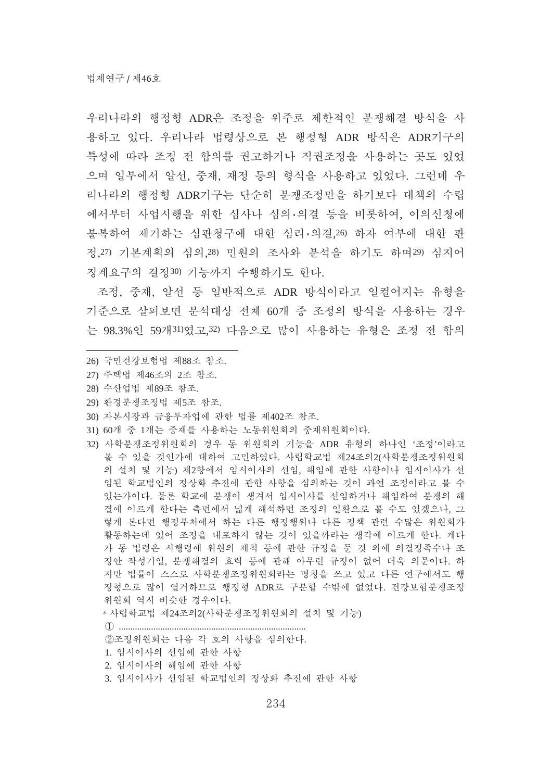우리나라의 행정형 ADR은 조정을 위주로 제하적인 분쟁해결 방식을 사 용하고 있다. 우리나라 법령상으로 본 행정형 ADR 방식은 ADR기구의 특성에 따라 조정 전 합의를 권고하거나 직권조정을 사용하는 곳도 있었 으며 일부에서 알선, 중재, 재정 등의 형식을 사용하고 있었다. 그런데 우 리나라의 행정형 ADR기구는 단순히 분쟁조정만을 하기보다 대책의 수립 에서부터 사업시행을 위한 심사나 심의 의결 등을 비롯하여, 이의신청에 불복하여 제기하는 심판청구에 대한 심리·의결,26) 하자 여부에 대한 판 정, 27) 기본계획의 심의, 28) 민원의 조사와 분석을 하기도 하며 29) 심지어 징계요구의 결정30) 기능까지 수행하기도 한다.

조정, 중재, 알선 등 일반적으로 ADR 방식이라고 일컬어지는 유형을 기주으로 살펴보면 부석대상 전체 60개 중 조정의 방식을 사용하는 경우 는 98.3%의 59개31)였고,32) 다음으로 많이 사용하는 유형은 조정 전 합의

- 26) 국민건강보험법 제88조 참조.
- 27) 주택법 제46조의 2조 참조.
- 28) 수산업법 제89조 참조.
- 29) 환경분쟁조정법 제5조 참조.
- 30) 자본시장과 금융투자업에 관한 법률 제402조 참조.
- 31) 60개 중 1개는 중재를 사용하는 노동위원회의 중재위원회이다.
- 32) 사학분쟁조정위원회의 경우 동 위원회의 기능을 ADR 유형의 하나인 '조정'이라고 볼 수 있을 것인가에 대하여 고민하였다. 사립학교법 제24조의2(사학분쟁조정위원회 의 설치 및 기능) 제2항에서 임시이사의 선임, 해임에 관한 사항이나 임시이사가 선 임된 학교법이의 정상화 추진에 관한 사항을 심의하는 것이 과연 조정이라고 볼 수 있는가이다. 물론 학교에 분쟁이 생겨서 임시이사를 선임하거나 해임하여 분쟁의 해 결에 이르게 한다는 측면에서 넓게 해석하면 조정의 일환으로 볼 수도 있겠으나, 그 렇게 본다면 행정부처에서 하는 다른 행정행위나 다른 정책 관련 수많은 위원회가 활동하는데 있어 조정을 내포하지 않는 것이 있을까라는 생각에 이르게 한다. 게다 가 동 법령은 시행령에 위원의 제척 등에 관한 규정을 둔 것 외에 의결정족수나 조 정안 작성기일, 분쟁해결의 효력 등에 관해 아무런 규정이 없어 더욱 의문이다. 하 지만 법률이 스스로 사학분쟁조정위원회라는 명칭을 쓰고 있고 다른 연구에서도 행 정형으로 많이 열거하므로 행정형 ADR로 구분할 수밖에 없었다. 건강보험분쟁조정 위원회 역시 비슷한 경우이다.

\* 사립학교법 제24조의2(사학분쟁조정위원회의 설치 및 기능)

................................................................................. ࡚ ②조정위워회는 다음 각 호의 사항을 심의한다. 1. 임시이사의 선임에 관한 사항 2. 임시이사의 해임에 과한 사항 3. 임시이사가 선임된 학교법인의 정상화 추진에 관한 사항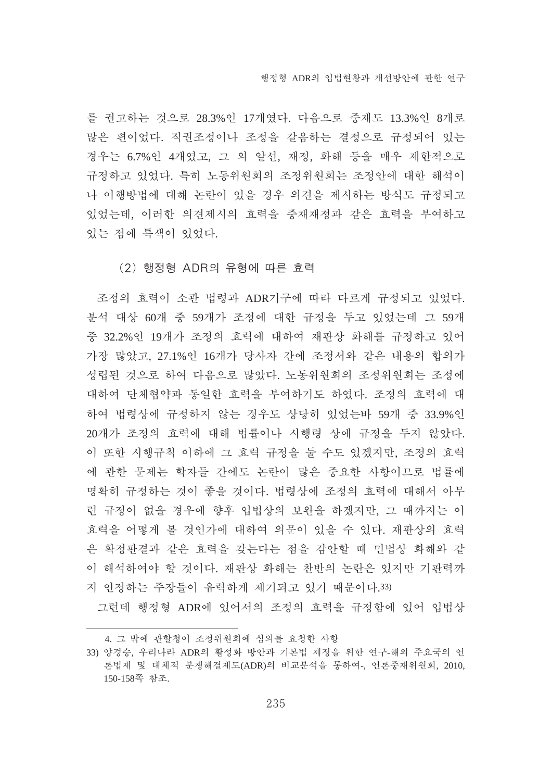를 권고하는 것으로 28.3%인 17개였다. 다음으로 중재도 13.3%인 8개로 많은 편이었다. 직권조정이나 조정을 갈음하는 결정으로 규정되어 있는 경우는 6.7%인 4개였고, 그 외 알선, 재정, 화해 등을 매우 제한적으로 규정하고 있었다. 특히 노동위원회의 조정위원회는 조정안에 대한 해석이 나 이행방법에 대해 논란이 있을 경우 의견을 제시하는 방식도 규정되고 있었는데, 이러한 의견제시의 효력을 중재재정과 같은 효력을 부여하고 있는 점에 특색이 있었다.

(2) 행정형 ADR의 유형에 따른 효력

조정의 효력이 소관 법령과 ADR기구에 따라 다르게 규정되고 있었다. 분석 대상 60개 중 59개가 조정에 대한 규정을 두고 있었는데 그 59개 중 32.2%인 19개가 조정의 효력에 대하여 재판상 화해를 규정하고 있어 가장 많았고, 27.1%인 16개가 당사자 간에 조정서와 같은 내용의 합의가 성립된 것으로 하여 다음으로 많았다. 노동위원회의 조정위원회는 조정에 대하여 단체협약과 동일한 효력을 부여하기도 하였다. 조정의 효력에 대 하여 법령상에 규정하지 않는 경우도 상당히 있었는바 59개 중 33.9%인 20개가 조정의 효력에 대해 법률이나 시행령 상에 규정을 두지 않았다. 이 또한 시행규칙 이하에 그 효력 규정을 둘 수도 있겠지만, 조정의 효력 에 관한 문제는 학자들 간에도 논란이 많은 중요한 사항이므로 법률에 명확히 규정하는 것이 좋을 것이다. 법령상에 조정의 효력에 대해서 아무 런 규정이 없을 경우에 향후 입법상의 보완을 하겠지만, 그 때까지는 이 효력을 어떻게 볼 것인가에 대하여 의문이 있을 수 있다. 재판상의 효력 은 확정판결과 같은 효력을 갖는다는 점을 감안할 때 민법상 화해와 같 이 해석하여야 할 것이다. 재판상 화해는 찬반의 논란은 있지만 기판력까 지 인정하는 주장들이 유력하게 제기되고 있기 때문이다.33)

그런데 행정형 ADR에 있어서의 조정의 효력을 규정함에 있어 입법상

<sup>4.</sup> 그 밖에 관할청이 조정위원회에 심의를 요청한 사항

<sup>33)</sup> 양경승, 우리나라 ADR의 활성화 방안과 기본법 제정을 위한 연구-해외 주요국의 언 론법제 및 대체적 분쟁해결제도(ADR)의 비교분석을 통하여-, 언론중재위원회, 2010, 150-158쪽 참조.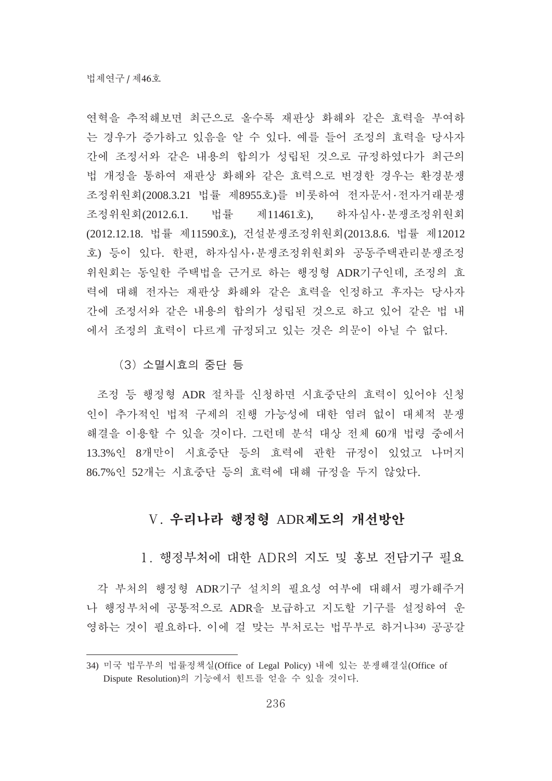여혁을 추적해보면 최근으로 올수록 재판상 화해와 같은 효력을 부여하 는 경우가 증가하고 있음을 알 수 있다. 예를 들어 조정의 효력을 당사자 간에 조정서와 같은 내용의 합의가 성립된 것으로 규정하였다가 최근의 법 개정을 통하여 재판상 화해와 같은 효력으로 변경한 경우는 환경분쟁 조정위원회(2008.3.21 법률 제8955호)를 비롯하여 전자문서·전자거래분쟁 조정위원회(2012.6.1. 법률 제11461호), 하자심사·분쟁조정위원회 (2012.12.18. 법률 제11590호), 건설분쟁조정위원회(2013.8.6. 법률 제12012 호) 등이 있다. 한편, 하자심사·분쟁조정위원회와 공동주택관리분쟁조정 위원회는 동일한 주택법을 근거로 하는 행정형 ADR기구인데, 조정의 효 력에 대해 전자는 재판상 화해와 같은 효력을 인정하고 후자는 당사자 간에 조정서와 같은 내용의 합의가 성립된 것으로 하고 있어 같은 법 내 에서 조정의 효력이 다르게 규정되고 있는 것은 의문이 아닐 수 없다.

(3) 소멸시효의 중단 등

조정 등 행정형 ADR 절차를 신청하면 시효중단의 효력이 있어야 신청 인이 추가적인 법적 구제의 진행 가능성에 대한 염려 없이 대체적 분쟁 해결을 이용할 수 있을 것이다. 그런데 분석 대상 전체 60개 법령 중에서 13.3%인 8개만이 시효중단 등의 효력에 관한 규정이 있었고 나머지 86.7%인 52개는 시효중단 등의 효력에 대해 규정을 두지 않았다.

#### V. 우리나라 행정형 ADR제도의 개선방안

1. 행정부처에 대한 ADR의 지도 및 홍보 전담기구 필요

각 부처의 행정형 ADR기구 설치의 필요성 여부에 대해서 평가해주거 나 행정부처에 공통적으로 ADR을 보급하고 지도할 기구를 설정하여 유 영하는 것이 필요하다. 이에 걸 맞는 부처로는 법무부로 하거나34) 공공갈

<sup>34)</sup> 미국 법무부의 법률정책실(Office of Legal Policy) 내에 있는 분쟁해결실(Office of Dispute Resolution)의 기능에서 힌트를 얻을 수 있을 것이다.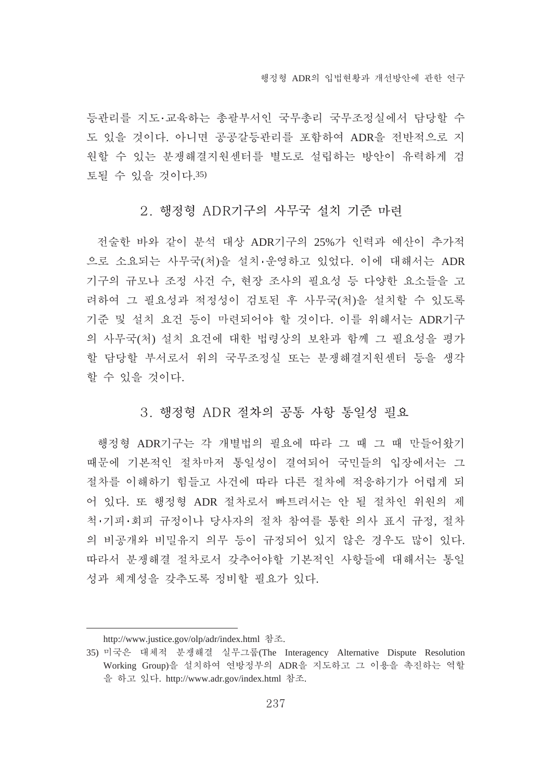등관리를 지도·교육하는 총괄부서인 국무총리 국무조정실에서 담당할 수 도 있을 것이다. 아니면 공공갈등관리를 포함하여 ADR을 전반적으로 지 원할 수 있는 분쟁해결지원센터를 별도로 설립하는 방안이 유력하게 검 토될 수 있을 것이다.35)

#### 2. 행정형 ADR기구의 사무국 설치 기준 마련

전술한 바와 같이 부석 대상 ADR기구의 25%가 인력과 예사이 추가적 으로 소요되는 사무국(처)을 설치·운영하고 있었다. 이에 대해서는 ADR 기구의 규모나 조정 사건 수, 현장 조사의 필요성 등 다양한 요소들을 고 려하여 그 필요성과 적정성이 검토된 후 사무국(처)을 설치할 수 있도록 기준 및 설치 요건 등이 마련되어야 할 것이다. 이를 위해서는 ADR기구 의 사무국(처) 설치 요건에 대한 법령상의 보완과 함께 그 필요성을 평가 할 담당할 부서로서 위의 국무조정실 또는 분쟁해결지원센터 등을 생각 할 수 있을 것이다.

#### 3. 행정형 ADR 절차의 공통 사항 통일성 필요

행정형 ADR기구는 각 개별법의 필요에 따라 그 때 그 때 만들어왔기 때문에 기본적인 절차마저 통일성이 결여되어 국민들의 입장에서는 그 절차를 이해하기 힘들고 사건에 따라 다른 절차에 적응하기가 어렵게 되 어 있다. 또 행정형 ADR 절차로서 빠트려서는 안 될 절차인 위원의 제 척·기피·회피 규정이나 당사자의 절차 참여를 통한 의사 표시 규정, 절차 의 비공개와 비밀유지 의무 등이 규정되어 있지 않은 경우도 많이 있다. 따라서 분쟁해결 절차로서 갖추어야할 기본적인 사항들에 대해서는 통일 성과 체계성을 갖추도록 정비할 필요가 있다.

http://www.justice.gov/olp/adr/index.html 참조.

<sup>35)</sup> 미국은 대체적 분쟁해결 실무그룹(The Interagency Alternative Dispute Resolution Working Group)을 설치하여 연방정부의 ADR을 지도하고 그 이용을 촉진하는 역할 을 하고 있다. http://www.adr.gov/index.html 참조.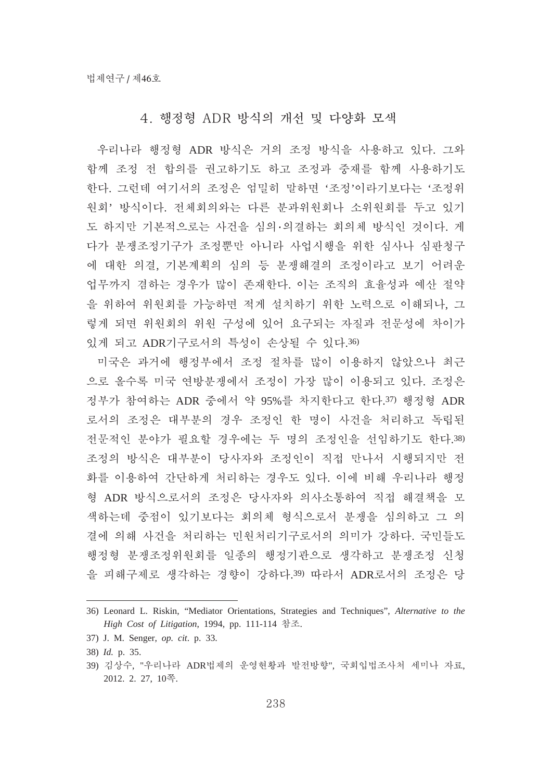#### 4. 행정형 ADR 방식의 개선 및 다양화 모색

우리나라 행정형 ADR 방식은 거의 조정 방식을 사용하고 있다. 그와 함께 조정 전 합의를 권고하기도 하고 조정과 중재를 함께 사용하기도 한다. 그런데 여기서의 조정은 엄밀히 말하면 '조정'이라기보다는 '조정위 원회' 방식이다. 전체회의와는 다른 분과위원회나 소위원회를 두고 있기 도 하지만 기본적으로는 사건을 심의 의결하는 회의체 방식인 것이다. 게 다가 분쟁조정기구가 조정뿐만 아니라 사업시행을 위한 심사나 심판청구 에 대한 의결, 기본계획의 심의 등 분쟁해결의 조정이라고 보기 어려운 업무까지 겸하는 경우가 많이 존재한다. 이는 조직의 효율성과 예산 절약 을 위하여 위원회를 가능하면 적게 설치하기 위한 노력으로 이해되나, 그 렇게 되면 위원회의 위원 구성에 있어 요구되는 자질과 전문성에 차이가 있게 되고 ADR기구로서의 특성이 손상될 수 있다.36)

미국은 과거에 행정부에서 조정 절차를 많이 이용하지 않았으나 최근 으로 올수록 미국 연방분쟁에서 조정이 가장 많이 이용되고 있다. 조정은 정부가 참여하는 ADR 중에서 약 95%를 차지한다고 한다.37) 행정형 ADR 로서의 조정은 대부분의 경우 조정인 한 명이 사건을 처리하고 독립된 전문적인 분야가 필요할 경우에는 두 명의 조정인을 선임하기도 한다.38) 조정의 방식은 대부분이 당사자와 조정인이 직접 만나서 시행되지만 전 화를 이용하여 간단하게 처리하는 경우도 있다. 이에 비해 우리나라 행정 형 ADR 방식으로서의 조정은 당사자와 의사소통하여 직접 해결책을 모 색하는데 중점이 있기보다는 회의체 형식으로서 분쟁을 심의하고 그 의 결에 의해 사건을 처리하는 민원처리기구로서의 의미가 강하다. 국민들도 행정형 분쟁조정위원회를 일종의 행정기관으로 생각하고 분쟁조정 신청 을 피해구제로 생각하는 경향이 강하다.39) 따라서 ADR로서의 조정은 당

<sup>36)</sup> Leonard L. Riskin, "Mediator Orientations, Strategies and Techniques", *Alternative to the*  High Cost of Litigation, 1994, pp. 111-114 참조.

<sup>37)</sup> J. M. Senger, *op. cit*. p. 33.

<sup>38)</sup> *Id.* p. 35.

<sup>39)</sup> 김상수, "우리나라 ADR법제의 운영현황과 발전방향", 국회입법조사처 세미나 자료, 2012. 2. 27, 10碪.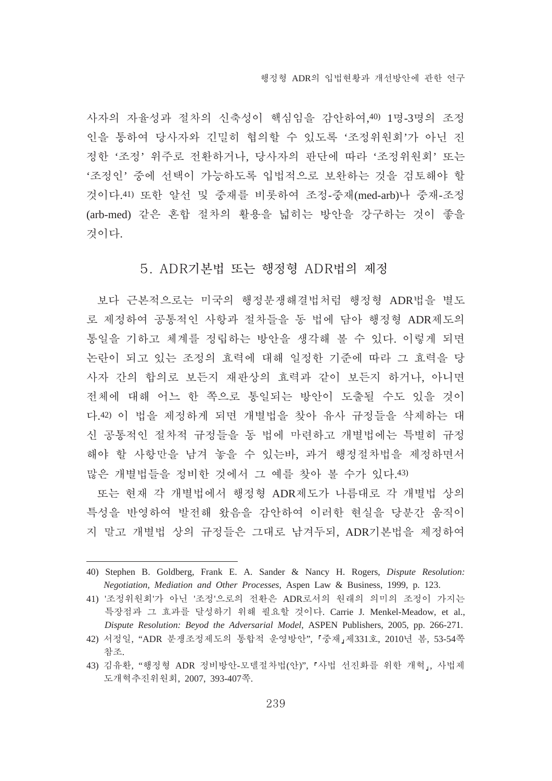사자의 자율성과 절차의 신축성이 핵심임을 감안하여.40) 1명-3명의 조정 인을 통하여 당사자와 긴밀히 협의할 수 있도록 '조정위원회'가 아닌 진 정한 '조정' 위주로 전환하거나, 당사자의 판단에 따라 '조정위원회' 또는 '조정인' 중에 선택이 가능하도록 입법적으로 보완하는 것을 검토해야 할 것이다.41) 또한 알선 및 중재를 비롯하여 조정-중재(med-arb)나 중재-조정 (arb-med) 같은 혼합 절차의 활용을 넓히는 방안을 강구하는 것이 좋을 것이다.

#### 5. ADR기본법 또는 행정형 ADR법의 제정

보다 근본적으로는 미국의 행정부쟁해결법처럼 행정형 ADR법을 별도 로 제정하여 공통적인 사항과 절차들을 동 법에 담아 행정형 ADR제도의 통일을 기하고 체계를 정립하는 방안을 생각해 볼 수 있다. 이렇게 되면 논란이 되고 있는 조정의 효력에 대해 일정한 기준에 따라 그 효력을 당 사자 간의 합의로 보든지 재판상의 효력과 같이 보든지 하거나. 아니면 전체에 대해 어느 한 쪽으로 통일되는 방안이 도출될 수도 있을 것이 다.42) 이 법을 제정하게 되면 개별법을 찾아 유사 규정들을 삭제하는 대 신 공통적인 절차적 규정들을 동 법에 마련하고 개별법에는 특별히 규정 해야 할 사항만을 남겨 놓을 수 있는바, 과거 행정절차법을 제정하면서 많은 개별법들을 정비한 것에서 그 예를 찾아 볼 수가 있다.43)

또는 현재 각 개별법에서 행정형 ADR제도가 나름대로 각 개별법 상의 특성을 반영하여 발전해 왔음을 감안하여 이러한 현실을 당분간 움직이 지 말고 개별법 상의 규정들은 그대로 남겨두되, ADR기본법을 제정하여

<sup>40)</sup> Stephen B. Goldberg, Frank E. A. Sander & Nancy H. Rogers, *Dispute Resolution: Negotiation, Mediation and Other Processes*, Aspen Law & Business, 1999, p. 123.

<sup>41) &#</sup>x27;조정위원회'가 아닌 '조정'으로의 전환은 ADR로서의 원래의 의미의 조정이 가지는 특장점과 그 효과를 달성하기 위해 필요할 것이다. Carrie J. Menkel-Meadow, et al., *Dispute Resolution: Beyod the Adversarial Model*, ASPEN Publishers, 2005, pp. 266-271.

<sup>42)</sup> 서정일, "ADR 분쟁조정제도의 통합적 운영방안", 『중재』제331호, 2010년 봄, 53-54쪽 참조.

<sup>43)</sup> 김유환, "행정형 ADR 정비방안-모델절차법(안)", 『사법 선진화를 위한 개혁』, 사법제 憱娉菮箁瞱瓱璽葹, 2007, 393-407碪.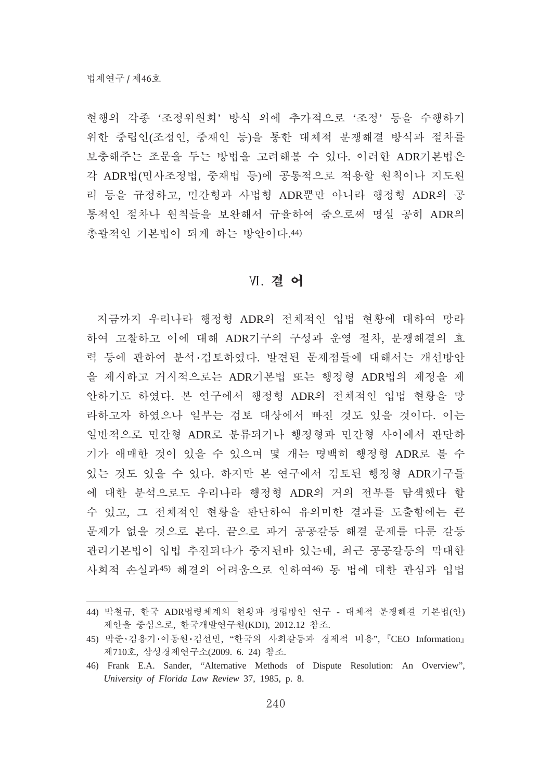현행의 각종 '조정위원회' 방식 외에 추가적으로 '조정' 등을 수행하기 위한 중립인(조정인, 중재인 등)을 통한 대체적 분쟁해결 방식과 절차를 보충해주는 조문을 두는 방법을 고려해볼 수 있다. 이러한 ADR기본법은 각 ADR법(민사조정법, 중재법 등)에 공통적으로 적용할 원칙이나 지도원 리 등을 규정하고, 민간형과 사법형 ADR뿐만 아니라 행정형 ADR의 공 통적인 절차나 원칙들을 보완해서 규율하여 줌으로써 명실 공히 ADR의 총괄적인 기본법이 되게 하는 방안이다.44)

#### Ⅵ. 결 어

지금까지 우리나라 행정형 ADR의 전체적인 입법 현황에 대하여 망라 하여 고찰하고 이에 대해 ADR기구의 구성과 운영 절차, 분쟁해결의 효 력 등에 관하여 분석·검토하였다. 발견된 문제점들에 대해서는 개선방안 을 제시하고 거시적으로는 ADR기본법 또는 행정형 ADR법의 제정을 제 안하기도 하였다. 본 연구에서 행정형 ADR의 전체적인 입법 현황을 망 라하고자 하였으나 일부는 검토 대상에서 빠진 것도 있을 것이다. 이는 일반적으로 민간형 ADR로 분류되거나 행정형과 민간형 사이에서 판단하 기가 애매한 것이 있을 수 있으며 몇 개는 명백히 행정형 ADR로 볼 수 있는 것도 있을 수 있다. 하지만 본 연구에서 검토된 행정형 ADR기구들 에 대한 분석으로도 우리나라 행정형 ADR의 거의 전부를 탐색했다 할 수 있고, 그 전체적인 현황을 판단하여 유의미한 결과를 도출함에는 큰 문제가 없을 것으로 본다. 끝으로 과거 공공갈등 해결 문제를 다룬 갈등 관리기본법이 입법 추진되다가 중지된바 있는데, 최근 공공갈등의 막대한 사회적 손실과45) 해결의 어려움으로 인하여46) 동 법에 대한 관심과 입법

<sup>44)</sup> 박철규, 한국 ADR법령체계의 현황과 정립방안 여구 - 대체적 부쟁해결 기본법(약) 제안을 중심으로, 한국개발연구원(KDI), 2012.12 참조.

<sup>45)</sup> 박준 김용기·이동원 김선빈, "한국의 사회갈등과 경제적 비용", 『CEO Information』 제710호, 삼성경제연구소(2009. 6. 24) 참조.

<sup>46)</sup> Frank E.A. Sander, "Alternative Methods of Dispute Resolution: An Overview", *University of Florida Law Review* 37, 1985, p. 8.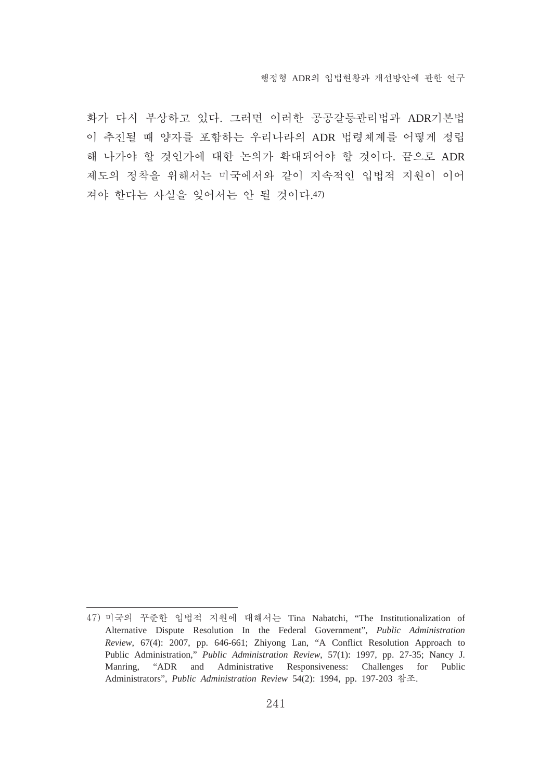화가 다시 부상하고 있다. 그러면 이러한 공공갈등관리법과 ADR기본법 이 추진될 때 양자를 포함하는 우리나라의 ADR 법령체계를 어떻게 정립 해 나가야 할 것인가에 대한 논의가 확대되어야 할 것이다. 끝으로 ADR 제도의 정착을 위해서는 미국에서와 같이 지속적인 입법적 지원이 이어 겨야 한다는 사실을 잊어서는 안 될 것이다.47)

<sup>47)</sup> 미국의 꾸준한 입법적 지원에 대해서는 Tina Nabatchi, "The Institutionalization of Alternative Dispute Resolution In the Federal Government", *Public Administration Review*, 67(4): 2007, pp. 646-661; Zhiyong Lan, "A Conflict Resolution Approach to Public Administration," *Public Administration Review*, 57(1): 1997, pp. 27-35; Nancy J. Manring, "ADR and Administrative Responsiveness: Challenges for Public Administrators", *Public Administration Review 54(2)*: 1994, pp. 197-203 참조.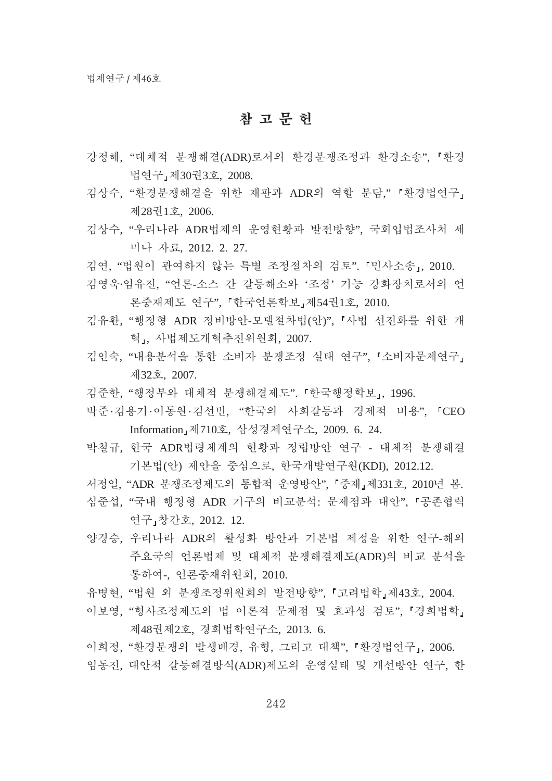## 참고문헌

- 강정혜, "대체적 분쟁해결(ADR)로서의 환경분쟁조정과 환경소송", 「환경 법연구」제30권3호, 2008.
- 김상수, "환경분쟁해결을 위한 재판과 ADR의 역할 분담," 『환경법연구』 瘉28孹1营, 2006.
- 김상수, "우리나라 ADR법제의 운영현황과 발전방향", 국회입법조사처 세 槥庅畽暹, 2012. 2. 27.
- 김연, "법원이 관여하지 않는 특별 조정절차의 검토". 「민사소송」, 2010.
- 김영욱·임유진, "언론-소스 간 갈등해소와 '조정' 기능 강화장치로서의 언 론중재제도 여구", 『한국언론학보』제54권1호, 2010.
- 김유환, "행정형 ADR 정비방안-모델절차법(안)", 『사법 선진화를 위한 개 혁」, 사법제도개혁추진위원회, 2007.
- 김인숙, "내용분석을 통한 소비자 분쟁조정 실태 연구", '소비자문제연구」 瘉32营, 2007.
- 김준한, "행정부와 대체적 분쟁해결제도". 『한국행정학보』, 1996.
- 박준·김용기·이동원·김선빈, "한국의 사회갈등과 경제적 비용", 「CEO Information 제710호, 삼성경제연구소, 2009. 6. 24.
- 박철규, 한국 ADR법령체계의 현황과 정립방안 여구 대체적 부쟁해결 기본법(아) 제아을 중심으로, 한국개발여구워(KDI), 2012.12.
- 서정일, "ADR 분쟁조정제도의 통합적 운영방안", 「중재」제331호, 2010년 봄.
- 심준섭, "국내 행정형 ADR 기구의 비교분석: 문제점과 대안", 「공존협력 연구」창간호, 2012. 12.
- 양경승, 우리나라 ADR의 활성화 방안과 기본법 제정을 위한 연구-해외 주요국의 언론법제 및 대체적 분쟁해결제도(ADR)의 비교 부석을 통하여-, 언론중재위원회, 2010.
- 유병현, "법원 외 분쟁조정위원회의 발전방향", 『고려법학』제43호, 2004.
- 이보영. "형사조정제도의 법 이론적 문제점 및 효과성 검토". 「경희법학, 제48권제2호, 경희법학연구소, 2013. 6.

이희정. "환경분쟁의 발생배경, 유형, 그리고 대책", 「환경법연구」, 2006.

임동진, 대안적 갈등해결방식(ADR)제도의 운영실태 및 개선방안 여구, 한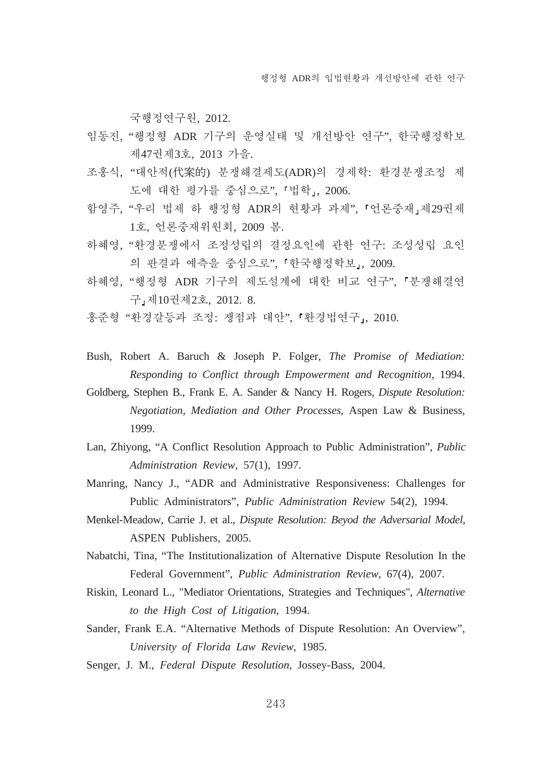국행정역구원, 2012.

- 임동진, "행정형 ADR 기구의 운영실태 및 개선방안 연구", 한국행정학보 제47권제3호, 2013 가을.
- 조홍식, "대안적(代案的) 분쟁해결제도(ADR)의 경제학: 환경분쟁조정 제 도에 대한 평가를 중심으로", 「법학」, 2006.
- 함영주, "우리 법제 하 행정형 ADR의 현황과 과제", 「언론중재」제29권제 1호, 언론중재위원회, 2009 봄.
- 하혜영, "환경분쟁에서 조정성립의 결정요인에 관한 연구: 조성성립 요인 의 판결과 예측을 중심으로". 『한국행정학보』, 2009.
- 하혜영. "행정형 ADR 기구의 제도설계에 대한 비교 연구", 「분쟁해결연 구 제10권제2호, 2012. 8.
- 홍준형 "환경갈등과 조정: 쟁점과 대안", 「환경법연구」, 2010.
- Bush, Robert A. Baruch & Joseph P. Folger, *The Promise of Mediation: Responding to Conflict through Empowerment and Recognition*, 1994.
- Goldberg, Stephen B., Frank E. A. Sander & Nancy H. Rogers, *Dispute Resolution: Negotiation, Mediation and Other Processes*, Aspen Law & Business, 1999.
- Lan, Zhiyong, "A Conflict Resolution Approach to Public Administration", *Public Administration Review,* 57(1), 1997.
- Manring, Nancy J., "ADR and Administrative Responsiveness: Challenges for Public Administrators", *Public Administration Review* 54(2), 1994.
- Menkel-Meadow, Carrie J. et al., *Dispute Resolution: Beyod the Adversarial Model*, ASPEN Publishers, 2005.
- Nabatchi, Tina, "The Institutionalization of Alternative Dispute Resolution In the Federal Government", *Public Administration Review*, 67(4), 2007.
- Riskin, Leonard L., "Mediator Orientations, Strategies and Techniques", *Alternative to the High Cost of Litigation*, 1994.
- Sander, Frank E.A. "Alternative Methods of Dispute Resolution: An Overview", *University of Florida Law Review*, 1985.
- Senger, J. M., *Federal Dispute Resolution*, Jossey-Bass, 2004.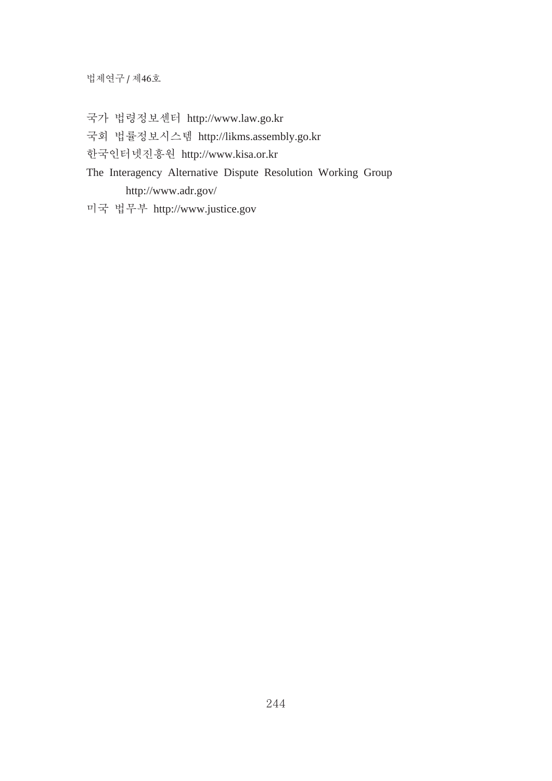법제연구 / 제46호

- 국가 법령정보센터 http://www.law.go.kr
- 孚葹檂杍瘂櫡烉炑罉http://likms.assembly.go.kr
- 한국인터넷진흥원 http://www.kisa.or.kr
- The Interagency Alternative Dispute Resolution Working Group http://www.adr.gov/
- 槥孚檂椡歭http://www.justice.gov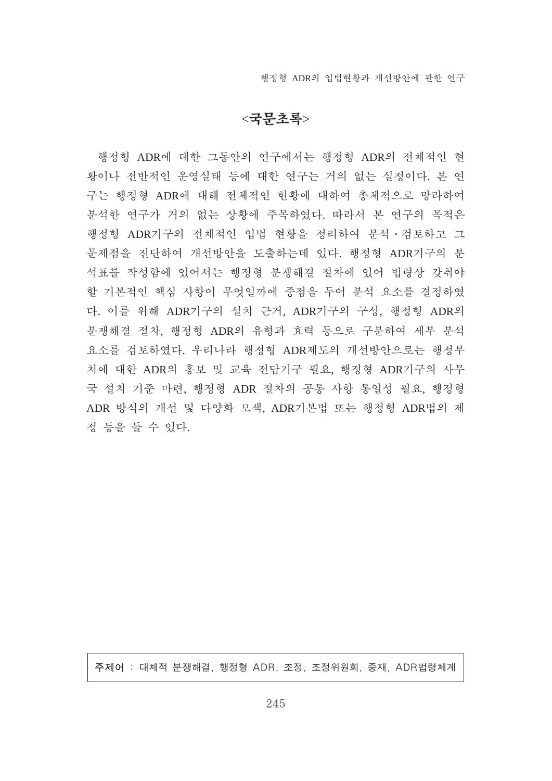해정형 ADR의 입법협홧과 개선방안에 과한 역구

## $<$ 국무초록>

행정형 ADR에 대한 그동안의 연구에서는 행정형 ADR의 전체적인 현 황이나 전반적인 운영실태 등에 대한 연구는 거의 없는 실정이다. 본 연 구는 행정형 ADR에 대해 전체적인 현황에 대하여 총체적으로 망라하여 분석한 연구가 거의 없는 상황에 주목하였다. 따라서 본 연구의 목적은 행정형 ADR기구의 전체적인 입법 현황을 정리하여 분석 · 검토하고 그 문제점을 진단하여 개선방안을 도출하는데 있다. 행정형 ADR기구의 분 석표를 작성함에 있어서는 행정형 분쟁해결 절차에 있어 법령상 갖춰야 할 기본적인 핵심 사항이 무엇일까에 중점을 두어 분석 요소를 결정하였 다. 이를 위해 ADR기구의 설치 근거, ADR기구의 구성, 행정형 ADR의 분쟁해결 절차, 행정형 ADR의 유형과 효력 등으로 구분하여 세부 분석 요소를 검토하였다. 우리나라 행정형 ADR제도의 개선방안으로는 행정부 처에 대한 ADR의 홍보 및 교육 전담기구 필요, 행정형 ADR기구의 사무 국 설치 기준 마련, 행정형 ADR 절차의 공통 사항 통일성 필요, 행정형 ADR 방식의 개선 및 다양화 모색, ADR기본법 또는 행정형 ADR법의 제 정 등을 들 수 있다.

주제어 : 대체적 분쟁해결, 행정형 ADR, 조정, 조정위원회, 중재, ADR법령체계